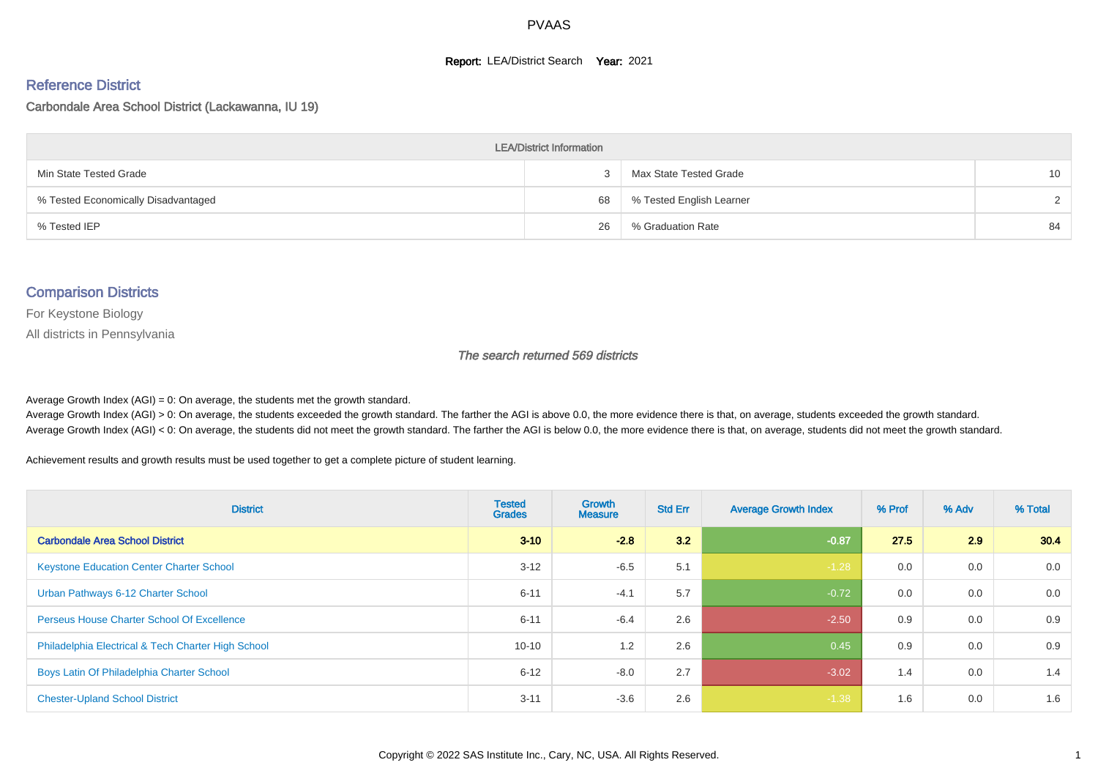#### **Report: LEA/District Search Year: 2021**

#### Reference District

#### Carbondale Area School District (Lackawanna, IU 19)

| <b>LEA/District Information</b>     |    |                          |    |  |  |  |  |  |  |  |
|-------------------------------------|----|--------------------------|----|--|--|--|--|--|--|--|
| Min State Tested Grade              |    | Max State Tested Grade   | 10 |  |  |  |  |  |  |  |
| % Tested Economically Disadvantaged | 68 | % Tested English Learner | ົ  |  |  |  |  |  |  |  |
| % Tested IEP                        | 26 | % Graduation Rate        | 84 |  |  |  |  |  |  |  |

#### Comparison Districts

For Keystone Biology

All districts in Pennsylvania

The search returned 569 districts

Average Growth Index  $(AGI) = 0$ : On average, the students met the growth standard.

Average Growth Index (AGI) > 0: On average, the students exceeded the growth standard. The farther the AGI is above 0.0, the more evidence there is that, on average, students exceeded the growth standard. Average Growth Index (AGI) < 0: On average, the students did not meet the growth standard. The farther the AGI is below 0.0, the more evidence there is that, on average, students did not meet the growth standard.

Achievement results and growth results must be used together to get a complete picture of student learning.

| <b>District</b>                                    | <b>Tested</b><br><b>Grades</b> | <b>Growth</b><br><b>Measure</b> | <b>Std Err</b> | <b>Average Growth Index</b> | % Prof | % Adv | % Total |
|----------------------------------------------------|--------------------------------|---------------------------------|----------------|-----------------------------|--------|-------|---------|
| <b>Carbondale Area School District</b>             | $3 - 10$                       | $-2.8$                          | 3.2            | $-0.87$                     | 27.5   | 2.9   | 30.4    |
| <b>Keystone Education Center Charter School</b>    | $3 - 12$                       | $-6.5$                          | 5.1            | $-1.28$                     | 0.0    | 0.0   | 0.0     |
| Urban Pathways 6-12 Charter School                 | $6 - 11$                       | $-4.1$                          | 5.7            | $-0.72$                     | 0.0    | 0.0   | 0.0     |
| <b>Perseus House Charter School Of Excellence</b>  | $6 - 11$                       | $-6.4$                          | 2.6            | $-2.50$                     | 0.9    | 0.0   | 0.9     |
| Philadelphia Electrical & Tech Charter High School | $10 - 10$                      | 1.2                             | 2.6            | 0.45                        | 0.9    | 0.0   | 0.9     |
| Boys Latin Of Philadelphia Charter School          | $6 - 12$                       | $-8.0$                          | 2.7            | $-3.02$                     | 1.4    | 0.0   | 1.4     |
| <b>Chester-Upland School District</b>              | $3 - 11$                       | $-3.6$                          | 2.6            | $-1.38$                     | 1.6    | 0.0   | 1.6     |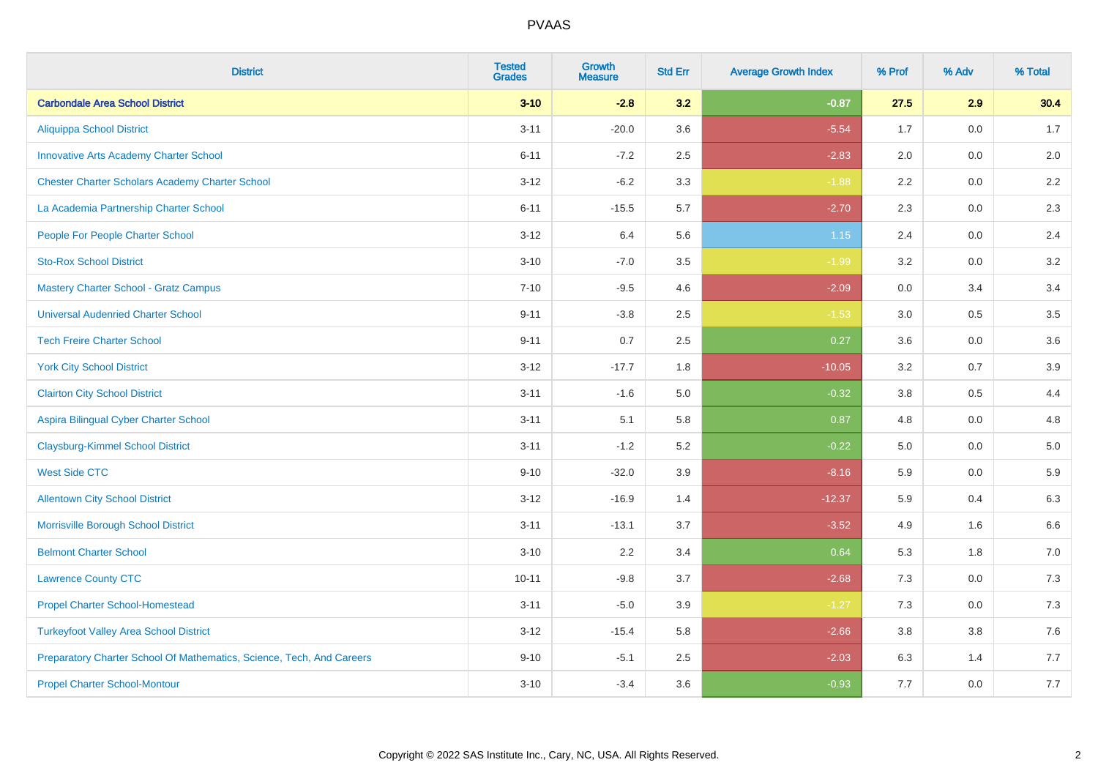| <b>District</b>                                                       | <b>Tested</b><br><b>Grades</b> | <b>Growth</b><br><b>Measure</b> | <b>Std Err</b> | <b>Average Growth Index</b> | % Prof | % Adv | % Total |
|-----------------------------------------------------------------------|--------------------------------|---------------------------------|----------------|-----------------------------|--------|-------|---------|
| <b>Carbondale Area School District</b>                                | $3 - 10$                       | $-2.8$                          | 3.2            | $-0.87$                     | 27.5   | 2.9   | 30.4    |
| <b>Aliquippa School District</b>                                      | $3 - 11$                       | $-20.0$                         | 3.6            | $-5.54$                     | 1.7    | 0.0   | 1.7     |
| <b>Innovative Arts Academy Charter School</b>                         | $6 - 11$                       | $-7.2$                          | 2.5            | $-2.83$                     | 2.0    | 0.0   | 2.0     |
| <b>Chester Charter Scholars Academy Charter School</b>                | $3 - 12$                       | $-6.2$                          | 3.3            | $-1.88$                     | 2.2    | 0.0   | 2.2     |
| La Academia Partnership Charter School                                | $6 - 11$                       | $-15.5$                         | 5.7            | $-2.70$                     | 2.3    | 0.0   | 2.3     |
| People For People Charter School                                      | $3 - 12$                       | 6.4                             | 5.6            | $1.15$                      | 2.4    | 0.0   | 2.4     |
| <b>Sto-Rox School District</b>                                        | $3 - 10$                       | $-7.0$                          | 3.5            | $-1.99$                     | 3.2    | 0.0   | $3.2\,$ |
| <b>Mastery Charter School - Gratz Campus</b>                          | $7 - 10$                       | $-9.5$                          | 4.6            | $-2.09$                     | 0.0    | 3.4   | 3.4     |
| <b>Universal Audenried Charter School</b>                             | $9 - 11$                       | $-3.8$                          | 2.5            | $-1.53$                     | 3.0    | 0.5   | $3.5\,$ |
| <b>Tech Freire Charter School</b>                                     | $9 - 11$                       | 0.7                             | 2.5            | 0.27                        | 3.6    | 0.0   | 3.6     |
| <b>York City School District</b>                                      | $3 - 12$                       | $-17.7$                         | 1.8            | $-10.05$                    | 3.2    | 0.7   | 3.9     |
| <b>Clairton City School District</b>                                  | $3 - 11$                       | $-1.6$                          | 5.0            | $-0.32$                     | 3.8    | 0.5   | 4.4     |
| Aspira Bilingual Cyber Charter School                                 | $3 - 11$                       | 5.1                             | 5.8            | 0.87                        | 4.8    | 0.0   | 4.8     |
| <b>Claysburg-Kimmel School District</b>                               | $3 - 11$                       | $-1.2$                          | 5.2            | $-0.22$                     | 5.0    | 0.0   | $5.0\,$ |
| <b>West Side CTC</b>                                                  | $9 - 10$                       | $-32.0$                         | 3.9            | $-8.16$                     | 5.9    | 0.0   | 5.9     |
| <b>Allentown City School District</b>                                 | $3 - 12$                       | $-16.9$                         | 1.4            | $-12.37$                    | 5.9    | 0.4   | 6.3     |
| Morrisville Borough School District                                   | $3 - 11$                       | $-13.1$                         | 3.7            | $-3.52$                     | 4.9    | 1.6   | $6.6\,$ |
| <b>Belmont Charter School</b>                                         | $3 - 10$                       | 2.2                             | 3.4            | 0.64                        | 5.3    | 1.8   | $7.0\,$ |
| <b>Lawrence County CTC</b>                                            | $10 - 11$                      | $-9.8$                          | 3.7            | $-2.68$                     | 7.3    | 0.0   | $7.3$   |
| <b>Propel Charter School-Homestead</b>                                | $3 - 11$                       | $-5.0$                          | 3.9            | $-1.27$                     | 7.3    | 0.0   | 7.3     |
| <b>Turkeyfoot Valley Area School District</b>                         | $3 - 12$                       | $-15.4$                         | 5.8            | $-2.66$                     | 3.8    | 3.8   | 7.6     |
| Preparatory Charter School Of Mathematics, Science, Tech, And Careers | $9 - 10$                       | $-5.1$                          | 2.5            | $-2.03$                     | 6.3    | 1.4   | 7.7     |
| <b>Propel Charter School-Montour</b>                                  | $3 - 10$                       | $-3.4$                          | 3.6            | $-0.93$                     | 7.7    | 0.0   | 7.7     |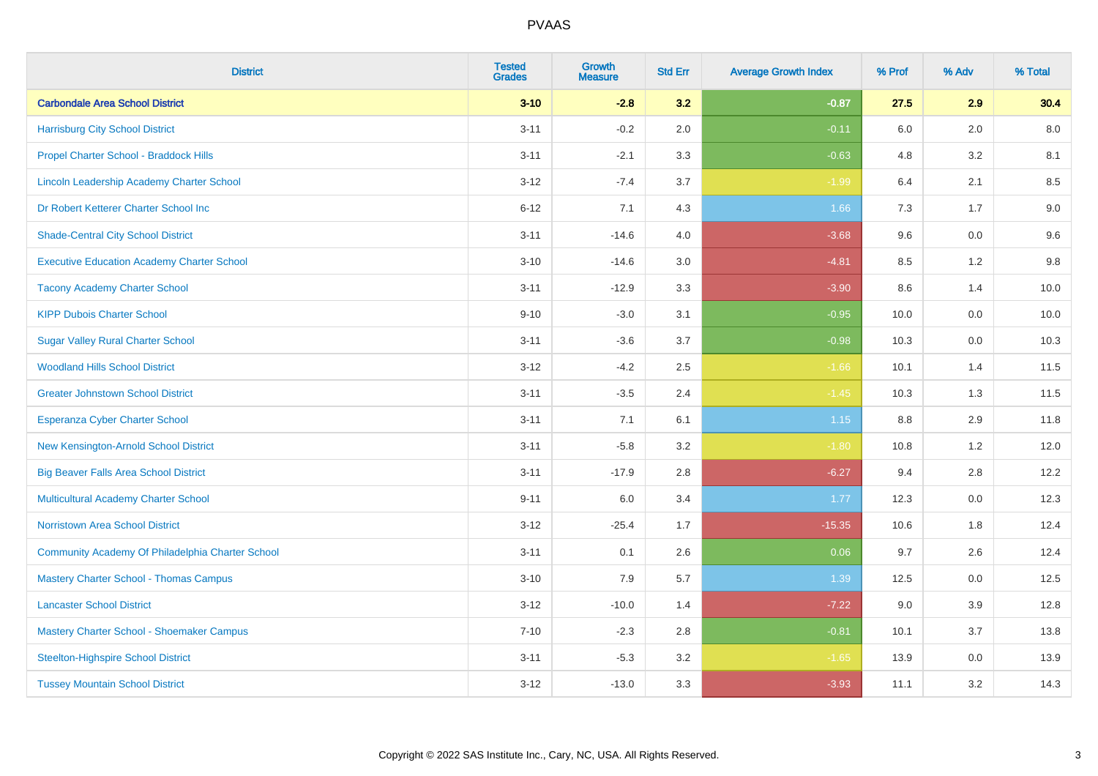| <b>District</b>                                   | <b>Tested</b><br><b>Grades</b> | <b>Growth</b><br><b>Measure</b> | <b>Std Err</b> | <b>Average Growth Index</b> | % Prof  | % Adv | % Total |
|---------------------------------------------------|--------------------------------|---------------------------------|----------------|-----------------------------|---------|-------|---------|
| <b>Carbondale Area School District</b>            | $3 - 10$                       | $-2.8$                          | 3.2            | $-0.87$                     | 27.5    | 2.9   | 30.4    |
| <b>Harrisburg City School District</b>            | $3 - 11$                       | $-0.2$                          | 2.0            | $-0.11$                     | 6.0     | 2.0   | 8.0     |
| Propel Charter School - Braddock Hills            | $3 - 11$                       | $-2.1$                          | 3.3            | $-0.63$                     | 4.8     | 3.2   | 8.1     |
| Lincoln Leadership Academy Charter School         | $3 - 12$                       | $-7.4$                          | 3.7            | $-1.99$                     | 6.4     | 2.1   | 8.5     |
| Dr Robert Ketterer Charter School Inc             | $6 - 12$                       | 7.1                             | 4.3            | 1.66                        | 7.3     | 1.7   | $9.0\,$ |
| <b>Shade-Central City School District</b>         | $3 - 11$                       | $-14.6$                         | 4.0            | $-3.68$                     | 9.6     | 0.0   | 9.6     |
| <b>Executive Education Academy Charter School</b> | $3 - 10$                       | $-14.6$                         | 3.0            | $-4.81$                     | 8.5     | 1.2   | 9.8     |
| <b>Tacony Academy Charter School</b>              | $3 - 11$                       | $-12.9$                         | 3.3            | $-3.90$                     | 8.6     | 1.4   | 10.0    |
| <b>KIPP Dubois Charter School</b>                 | $9 - 10$                       | $-3.0$                          | 3.1            | $-0.95$                     | 10.0    | 0.0   | 10.0    |
| <b>Sugar Valley Rural Charter School</b>          | $3 - 11$                       | $-3.6$                          | 3.7            | $-0.98$                     | 10.3    | 0.0   | 10.3    |
| <b>Woodland Hills School District</b>             | $3 - 12$                       | $-4.2$                          | 2.5            | $-1.66$                     | 10.1    | 1.4   | 11.5    |
| <b>Greater Johnstown School District</b>          | $3 - 11$                       | $-3.5$                          | 2.4            | $-1.45$                     | 10.3    | 1.3   | 11.5    |
| Esperanza Cyber Charter School                    | $3 - 11$                       | 7.1                             | 6.1            | 1.15                        | $8.8\,$ | 2.9   | 11.8    |
| New Kensington-Arnold School District             | $3 - 11$                       | $-5.8$                          | 3.2            | $-1.80$                     | 10.8    | 1.2   | 12.0    |
| <b>Big Beaver Falls Area School District</b>      | $3 - 11$                       | $-17.9$                         | 2.8            | $-6.27$                     | 9.4     | 2.8   | 12.2    |
| <b>Multicultural Academy Charter School</b>       | $9 - 11$                       | 6.0                             | 3.4            | 1.77                        | 12.3    | 0.0   | 12.3    |
| <b>Norristown Area School District</b>            | $3 - 12$                       | $-25.4$                         | 1.7            | $-15.35$                    | 10.6    | 1.8   | 12.4    |
| Community Academy Of Philadelphia Charter School  | $3 - 11$                       | 0.1                             | 2.6            | 0.06                        | 9.7     | 2.6   | 12.4    |
| <b>Mastery Charter School - Thomas Campus</b>     | $3 - 10$                       | 7.9                             | 5.7            | 1.39                        | 12.5    | 0.0   | 12.5    |
| <b>Lancaster School District</b>                  | $3 - 12$                       | $-10.0$                         | 1.4            | $-7.22$                     | 9.0     | 3.9   | 12.8    |
| Mastery Charter School - Shoemaker Campus         | $7 - 10$                       | $-2.3$                          | 2.8            | $-0.81$                     | 10.1    | 3.7   | 13.8    |
| <b>Steelton-Highspire School District</b>         | $3 - 11$                       | $-5.3$                          | 3.2            | $-1.65$                     | 13.9    | 0.0   | 13.9    |
| <b>Tussey Mountain School District</b>            | $3 - 12$                       | $-13.0$                         | 3.3            | $-3.93$                     | 11.1    | 3.2   | 14.3    |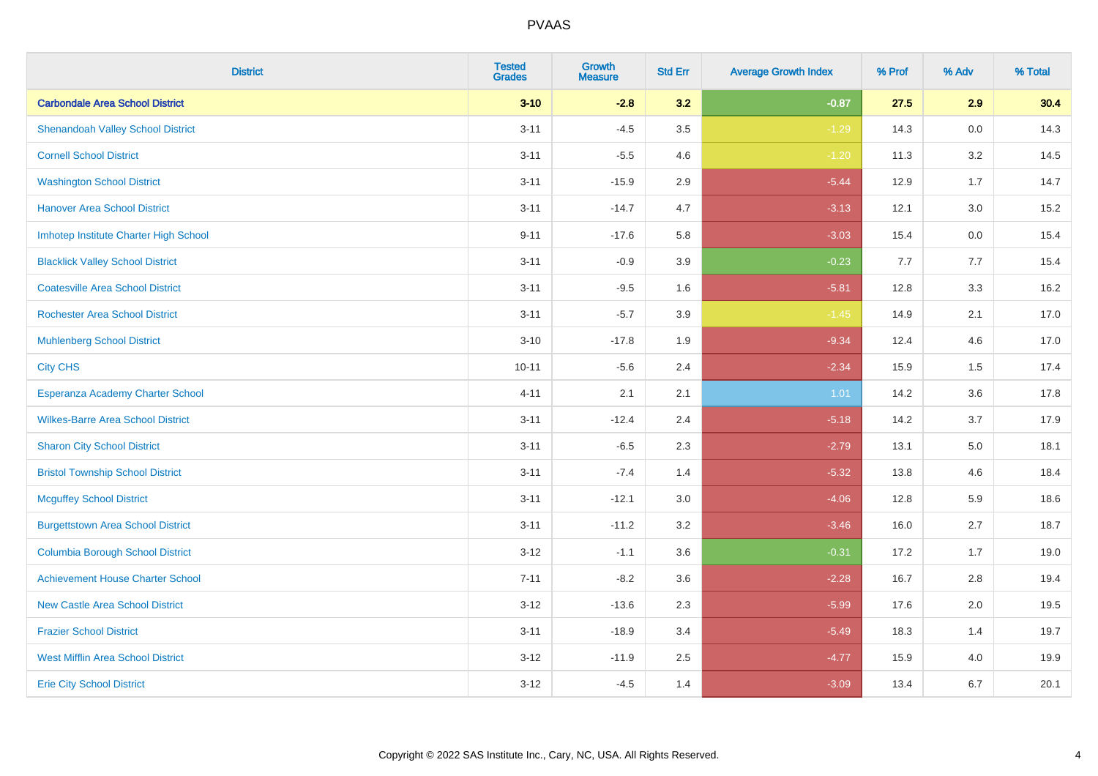| <b>District</b>                          | <b>Tested</b><br><b>Grades</b> | <b>Growth</b><br><b>Measure</b> | <b>Std Err</b> | <b>Average Growth Index</b> | % Prof | % Adv | % Total |
|------------------------------------------|--------------------------------|---------------------------------|----------------|-----------------------------|--------|-------|---------|
| <b>Carbondale Area School District</b>   | $3 - 10$                       | $-2.8$                          | 3.2            | $-0.87$                     | 27.5   | 2.9   | 30.4    |
| <b>Shenandoah Valley School District</b> | $3 - 11$                       | $-4.5$                          | 3.5            | $-1.29$                     | 14.3   | 0.0   | 14.3    |
| <b>Cornell School District</b>           | $3 - 11$                       | $-5.5$                          | 4.6            | $-1.20$                     | 11.3   | 3.2   | 14.5    |
| <b>Washington School District</b>        | $3 - 11$                       | $-15.9$                         | 2.9            | $-5.44$                     | 12.9   | 1.7   | 14.7    |
| <b>Hanover Area School District</b>      | $3 - 11$                       | $-14.7$                         | 4.7            | $-3.13$                     | 12.1   | 3.0   | 15.2    |
| Imhotep Institute Charter High School    | $9 - 11$                       | $-17.6$                         | 5.8            | $-3.03$                     | 15.4   | 0.0   | 15.4    |
| <b>Blacklick Valley School District</b>  | $3 - 11$                       | $-0.9$                          | 3.9            | $-0.23$                     | 7.7    | 7.7   | 15.4    |
| <b>Coatesville Area School District</b>  | $3 - 11$                       | $-9.5$                          | 1.6            | $-5.81$                     | 12.8   | 3.3   | 16.2    |
| <b>Rochester Area School District</b>    | $3 - 11$                       | $-5.7$                          | 3.9            | $-1.45$                     | 14.9   | 2.1   | 17.0    |
| <b>Muhlenberg School District</b>        | $3 - 10$                       | $-17.8$                         | 1.9            | $-9.34$                     | 12.4   | 4.6   | 17.0    |
| <b>City CHS</b>                          | $10 - 11$                      | $-5.6$                          | 2.4            | $-2.34$                     | 15.9   | 1.5   | 17.4    |
| Esperanza Academy Charter School         | $4 - 11$                       | 2.1                             | 2.1            | 1.01                        | 14.2   | 3.6   | 17.8    |
| <b>Wilkes-Barre Area School District</b> | $3 - 11$                       | $-12.4$                         | 2.4            | $-5.18$                     | 14.2   | 3.7   | 17.9    |
| <b>Sharon City School District</b>       | $3 - 11$                       | $-6.5$                          | 2.3            | $-2.79$                     | 13.1   | 5.0   | 18.1    |
| <b>Bristol Township School District</b>  | $3 - 11$                       | $-7.4$                          | 1.4            | $-5.32$                     | 13.8   | 4.6   | 18.4    |
| <b>Mcguffey School District</b>          | $3 - 11$                       | $-12.1$                         | 3.0            | $-4.06$                     | 12.8   | 5.9   | 18.6    |
| <b>Burgettstown Area School District</b> | $3 - 11$                       | $-11.2$                         | 3.2            | $-3.46$                     | 16.0   | 2.7   | 18.7    |
| <b>Columbia Borough School District</b>  | $3 - 12$                       | $-1.1$                          | 3.6            | $-0.31$                     | 17.2   | 1.7   | 19.0    |
| <b>Achievement House Charter School</b>  | $7 - 11$                       | $-8.2$                          | 3.6            | $-2.28$                     | 16.7   | 2.8   | 19.4    |
| <b>New Castle Area School District</b>   | $3 - 12$                       | $-13.6$                         | 2.3            | $-5.99$                     | 17.6   | 2.0   | 19.5    |
| <b>Frazier School District</b>           | $3 - 11$                       | $-18.9$                         | 3.4            | $-5.49$                     | 18.3   | 1.4   | 19.7    |
| <b>West Mifflin Area School District</b> | $3 - 12$                       | $-11.9$                         | 2.5            | $-4.77$                     | 15.9   | 4.0   | 19.9    |
| <b>Erie City School District</b>         | $3 - 12$                       | $-4.5$                          | 1.4            | $-3.09$                     | 13.4   | 6.7   | 20.1    |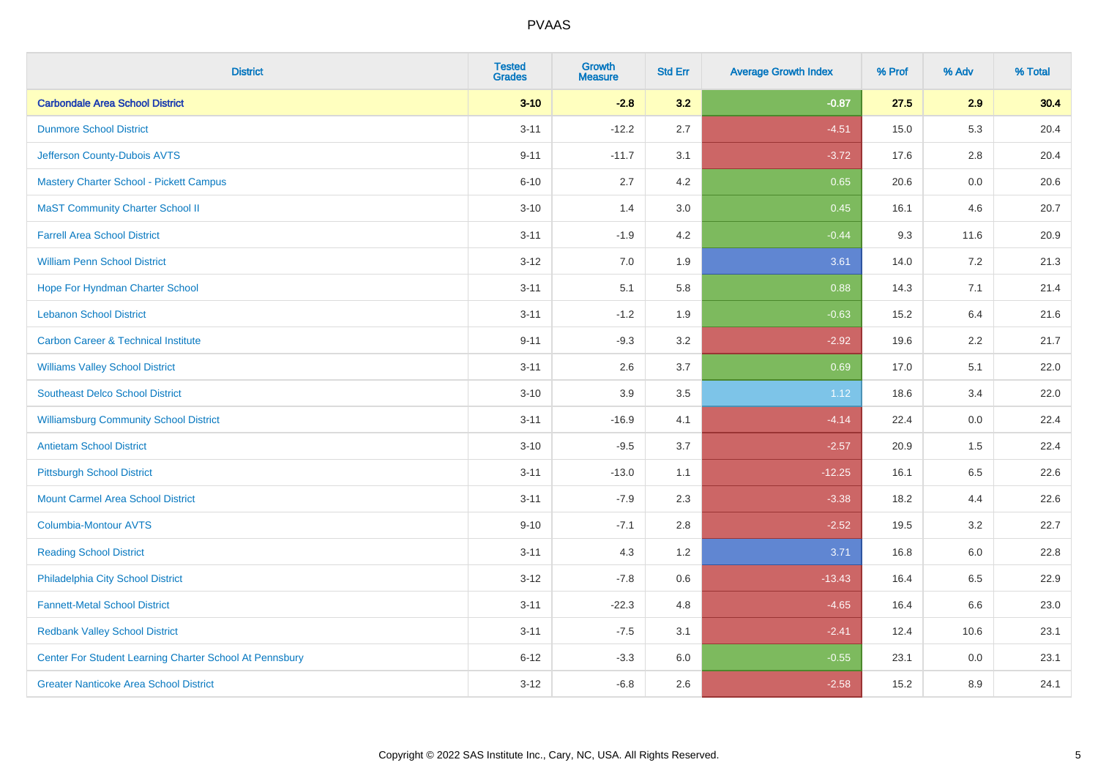| <b>District</b>                                         | <b>Tested</b><br><b>Grades</b> | <b>Growth</b><br><b>Measure</b> | <b>Std Err</b> | <b>Average Growth Index</b> | % Prof | % Adv   | % Total |
|---------------------------------------------------------|--------------------------------|---------------------------------|----------------|-----------------------------|--------|---------|---------|
| <b>Carbondale Area School District</b>                  | $3 - 10$                       | $-2.8$                          | 3.2            | $-0.87$                     | 27.5   | 2.9     | 30.4    |
| <b>Dunmore School District</b>                          | $3 - 11$                       | $-12.2$                         | 2.7            | $-4.51$                     | 15.0   | 5.3     | 20.4    |
| Jefferson County-Dubois AVTS                            | $9 - 11$                       | $-11.7$                         | 3.1            | $-3.72$                     | 17.6   | 2.8     | 20.4    |
| <b>Mastery Charter School - Pickett Campus</b>          | $6 - 10$                       | 2.7                             | 4.2            | 0.65                        | 20.6   | $0.0\,$ | 20.6    |
| <b>MaST Community Charter School II</b>                 | $3 - 10$                       | 1.4                             | 3.0            | 0.45                        | 16.1   | 4.6     | 20.7    |
| <b>Farrell Area School District</b>                     | $3 - 11$                       | $-1.9$                          | 4.2            | $-0.44$                     | 9.3    | 11.6    | 20.9    |
| <b>William Penn School District</b>                     | $3 - 12$                       | 7.0                             | 1.9            | 3.61                        | 14.0   | 7.2     | 21.3    |
| Hope For Hyndman Charter School                         | $3 - 11$                       | 5.1                             | 5.8            | 0.88                        | 14.3   | 7.1     | 21.4    |
| <b>Lebanon School District</b>                          | $3 - 11$                       | $-1.2$                          | 1.9            | $-0.63$                     | 15.2   | 6.4     | 21.6    |
| <b>Carbon Career &amp; Technical Institute</b>          | $9 - 11$                       | $-9.3$                          | 3.2            | $-2.92$                     | 19.6   | $2.2\,$ | 21.7    |
| <b>Williams Valley School District</b>                  | $3 - 11$                       | 2.6                             | 3.7            | 0.69                        | 17.0   | 5.1     | 22.0    |
| <b>Southeast Delco School District</b>                  | $3 - 10$                       | 3.9                             | 3.5            | 1.12                        | 18.6   | 3.4     | 22.0    |
| <b>Williamsburg Community School District</b>           | $3 - 11$                       | $-16.9$                         | 4.1            | $-4.14$                     | 22.4   | $0.0\,$ | 22.4    |
| <b>Antietam School District</b>                         | $3 - 10$                       | $-9.5$                          | 3.7            | $-2.57$                     | 20.9   | 1.5     | 22.4    |
| <b>Pittsburgh School District</b>                       | $3 - 11$                       | $-13.0$                         | 1.1            | $-12.25$                    | 16.1   | 6.5     | 22.6    |
| <b>Mount Carmel Area School District</b>                | $3 - 11$                       | $-7.9$                          | 2.3            | $-3.38$                     | 18.2   | 4.4     | 22.6    |
| <b>Columbia-Montour AVTS</b>                            | $9 - 10$                       | $-7.1$                          | 2.8            | $-2.52$                     | 19.5   | 3.2     | 22.7    |
| <b>Reading School District</b>                          | $3 - 11$                       | 4.3                             | 1.2            | 3.71                        | 16.8   | 6.0     | 22.8    |
| Philadelphia City School District                       | $3 - 12$                       | $-7.8$                          | 0.6            | $-13.43$                    | 16.4   | 6.5     | 22.9    |
| <b>Fannett-Metal School District</b>                    | $3 - 11$                       | $-22.3$                         | 4.8            | $-4.65$                     | 16.4   | 6.6     | 23.0    |
| <b>Redbank Valley School District</b>                   | $3 - 11$                       | $-7.5$                          | 3.1            | $-2.41$                     | 12.4   | 10.6    | 23.1    |
| Center For Student Learning Charter School At Pennsbury | $6 - 12$                       | $-3.3$                          | 6.0            | $-0.55$                     | 23.1   | 0.0     | 23.1    |
| <b>Greater Nanticoke Area School District</b>           | $3 - 12$                       | $-6.8$                          | 2.6            | $-2.58$                     | 15.2   | 8.9     | 24.1    |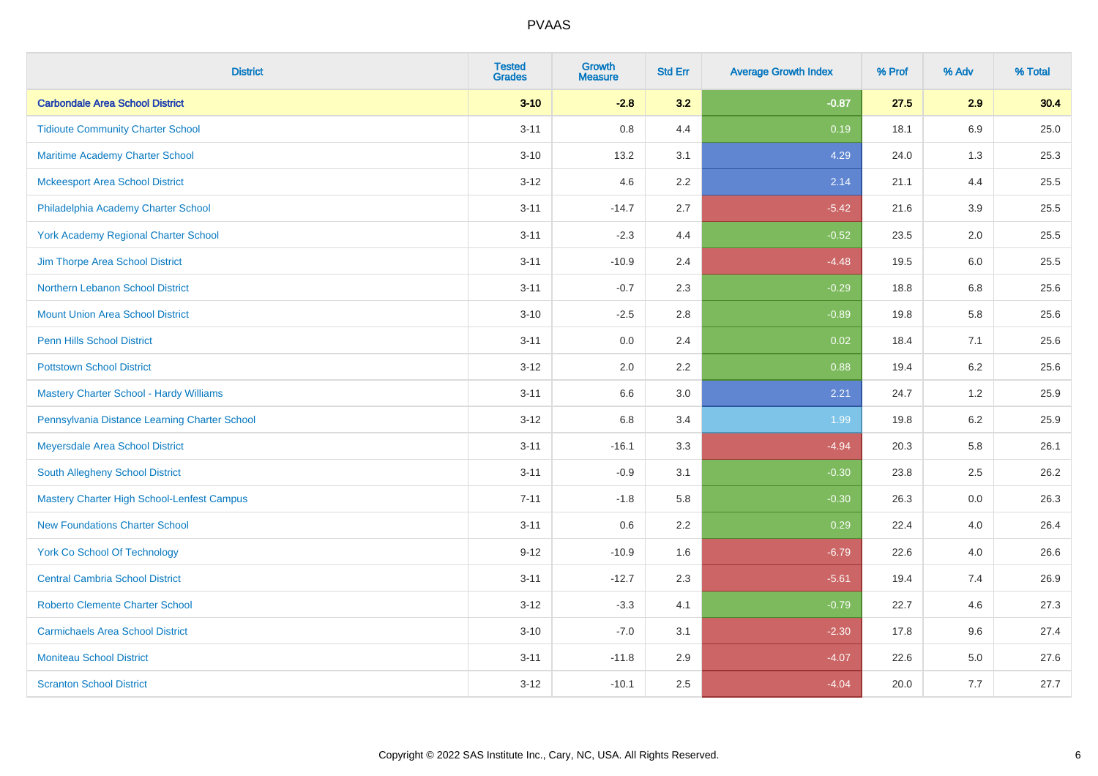| <b>District</b>                                   | <b>Tested</b><br><b>Grades</b> | <b>Growth</b><br><b>Measure</b> | <b>Std Err</b> | <b>Average Growth Index</b> | % Prof | % Adv   | % Total |
|---------------------------------------------------|--------------------------------|---------------------------------|----------------|-----------------------------|--------|---------|---------|
| <b>Carbondale Area School District</b>            | $3 - 10$                       | $-2.8$                          | 3.2            | $-0.87$                     | 27.5   | 2.9     | 30.4    |
| <b>Tidioute Community Charter School</b>          | $3 - 11$                       | 0.8                             | 4.4            | 0.19                        | 18.1   | 6.9     | 25.0    |
| <b>Maritime Academy Charter School</b>            | $3 - 10$                       | 13.2                            | 3.1            | 4.29                        | 24.0   | 1.3     | 25.3    |
| <b>Mckeesport Area School District</b>            | $3 - 12$                       | 4.6                             | 2.2            | 2.14                        | 21.1   | 4.4     | 25.5    |
| Philadelphia Academy Charter School               | $3 - 11$                       | $-14.7$                         | 2.7            | $-5.42$                     | 21.6   | 3.9     | 25.5    |
| <b>York Academy Regional Charter School</b>       | $3 - 11$                       | $-2.3$                          | 4.4            | $-0.52$                     | 23.5   | 2.0     | 25.5    |
| Jim Thorpe Area School District                   | $3 - 11$                       | $-10.9$                         | 2.4            | $-4.48$                     | 19.5   | 6.0     | 25.5    |
| Northern Lebanon School District                  | $3 - 11$                       | $-0.7$                          | 2.3            | $-0.29$                     | 18.8   | 6.8     | 25.6    |
| <b>Mount Union Area School District</b>           | $3 - 10$                       | $-2.5$                          | 2.8            | $-0.89$                     | 19.8   | 5.8     | 25.6    |
| <b>Penn Hills School District</b>                 | $3 - 11$                       | 0.0                             | 2.4            | 0.02                        | 18.4   | 7.1     | 25.6    |
| <b>Pottstown School District</b>                  | $3 - 12$                       | 2.0                             | 2.2            | 0.88                        | 19.4   | 6.2     | 25.6    |
| Mastery Charter School - Hardy Williams           | $3 - 11$                       | 6.6                             | 3.0            | 2.21                        | 24.7   | 1.2     | 25.9    |
| Pennsylvania Distance Learning Charter School     | $3 - 12$                       | $6.8\,$                         | 3.4            | 1.99                        | 19.8   | $6.2\,$ | 25.9    |
| Meyersdale Area School District                   | $3 - 11$                       | $-16.1$                         | 3.3            | $-4.94$                     | 20.3   | 5.8     | 26.1    |
| South Allegheny School District                   | $3 - 11$                       | $-0.9$                          | 3.1            | $-0.30$                     | 23.8   | 2.5     | 26.2    |
| <b>Mastery Charter High School-Lenfest Campus</b> | $7 - 11$                       | $-1.8$                          | 5.8            | $-0.30$                     | 26.3   | $0.0\,$ | 26.3    |
| <b>New Foundations Charter School</b>             | $3 - 11$                       | 0.6                             | 2.2            | 0.29                        | 22.4   | 4.0     | 26.4    |
| <b>York Co School Of Technology</b>               | $9 - 12$                       | $-10.9$                         | 1.6            | $-6.79$                     | 22.6   | 4.0     | 26.6    |
| <b>Central Cambria School District</b>            | $3 - 11$                       | $-12.7$                         | 2.3            | $-5.61$                     | 19.4   | 7.4     | 26.9    |
| <b>Roberto Clemente Charter School</b>            | $3 - 12$                       | $-3.3$                          | 4.1            | $-0.79$                     | 22.7   | 4.6     | 27.3    |
| <b>Carmichaels Area School District</b>           | $3 - 10$                       | $-7.0$                          | 3.1            | $-2.30$                     | 17.8   | 9.6     | 27.4    |
| <b>Moniteau School District</b>                   | $3 - 11$                       | $-11.8$                         | 2.9            | $-4.07$                     | 22.6   | 5.0     | 27.6    |
| <b>Scranton School District</b>                   | $3 - 12$                       | $-10.1$                         | 2.5            | $-4.04$                     | 20.0   | 7.7     | 27.7    |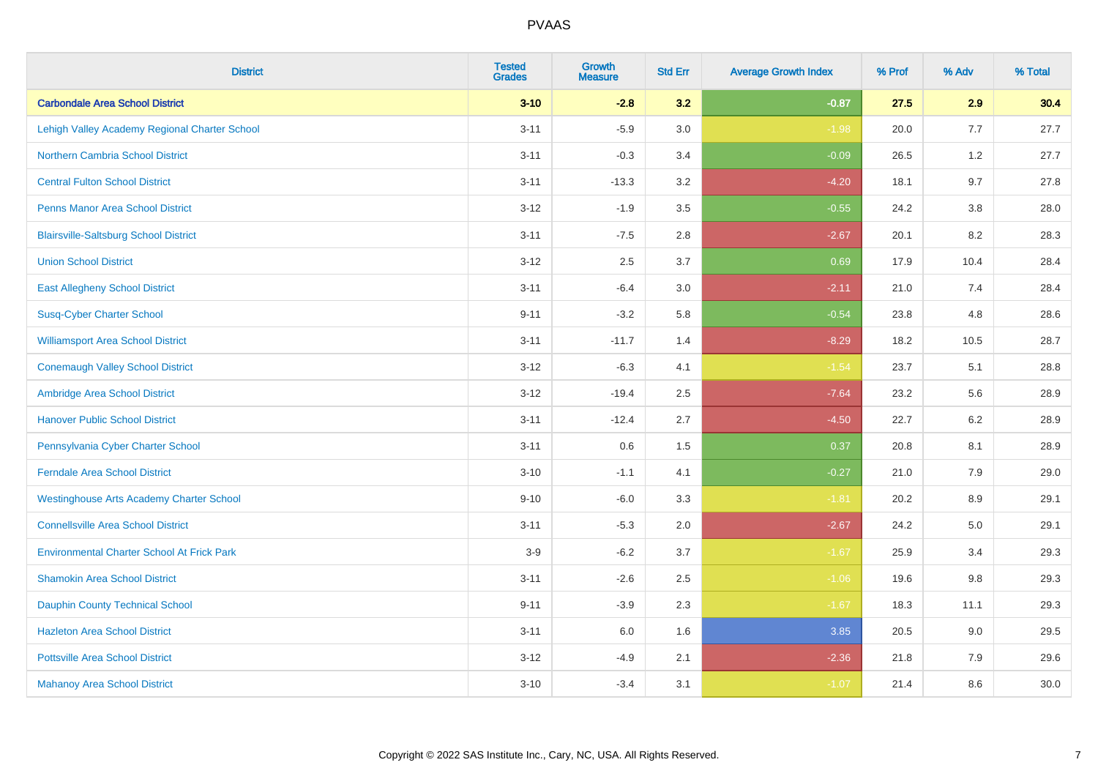| <b>District</b>                                   | <b>Tested</b><br><b>Grades</b> | <b>Growth</b><br><b>Measure</b> | <b>Std Err</b> | <b>Average Growth Index</b> | % Prof | % Adv   | % Total |
|---------------------------------------------------|--------------------------------|---------------------------------|----------------|-----------------------------|--------|---------|---------|
| <b>Carbondale Area School District</b>            | $3 - 10$                       | $-2.8$                          | 3.2            | $-0.87$                     | 27.5   | 2.9     | 30.4    |
| Lehigh Valley Academy Regional Charter School     | $3 - 11$                       | $-5.9$                          | 3.0            | $-1.98$                     | 20.0   | 7.7     | 27.7    |
| <b>Northern Cambria School District</b>           | $3 - 11$                       | $-0.3$                          | 3.4            | $-0.09$                     | 26.5   | 1.2     | 27.7    |
| <b>Central Fulton School District</b>             | $3 - 11$                       | $-13.3$                         | 3.2            | $-4.20$                     | 18.1   | 9.7     | 27.8    |
| <b>Penns Manor Area School District</b>           | $3 - 12$                       | $-1.9$                          | 3.5            | $-0.55$                     | 24.2   | 3.8     | 28.0    |
| <b>Blairsville-Saltsburg School District</b>      | $3 - 11$                       | $-7.5$                          | 2.8            | $-2.67$                     | 20.1   | 8.2     | 28.3    |
| <b>Union School District</b>                      | $3 - 12$                       | 2.5                             | 3.7            | 0.69                        | 17.9   | 10.4    | 28.4    |
| <b>East Allegheny School District</b>             | $3 - 11$                       | $-6.4$                          | 3.0            | $-2.11$                     | 21.0   | 7.4     | 28.4    |
| <b>Susq-Cyber Charter School</b>                  | $9 - 11$                       | $-3.2$                          | 5.8            | $-0.54$                     | 23.8   | 4.8     | 28.6    |
| <b>Williamsport Area School District</b>          | $3 - 11$                       | $-11.7$                         | 1.4            | $-8.29$                     | 18.2   | 10.5    | 28.7    |
| <b>Conemaugh Valley School District</b>           | $3 - 12$                       | $-6.3$                          | 4.1            | $-1.54$                     | 23.7   | 5.1     | 28.8    |
| Ambridge Area School District                     | $3 - 12$                       | $-19.4$                         | 2.5            | $-7.64$                     | 23.2   | 5.6     | 28.9    |
| <b>Hanover Public School District</b>             | $3 - 11$                       | $-12.4$                         | 2.7            | $-4.50$                     | 22.7   | $6.2\,$ | 28.9    |
| Pennsylvania Cyber Charter School                 | $3 - 11$                       | 0.6                             | 1.5            | 0.37                        | 20.8   | 8.1     | 28.9    |
| <b>Ferndale Area School District</b>              | $3 - 10$                       | $-1.1$                          | 4.1            | $-0.27$                     | 21.0   | 7.9     | 29.0    |
| <b>Westinghouse Arts Academy Charter School</b>   | $9 - 10$                       | $-6.0$                          | 3.3            | $-1.81$                     | 20.2   | $8.9\,$ | 29.1    |
| <b>Connellsville Area School District</b>         | $3 - 11$                       | $-5.3$                          | 2.0            | $-2.67$                     | 24.2   | 5.0     | 29.1    |
| <b>Environmental Charter School At Frick Park</b> | $3-9$                          | $-6.2$                          | 3.7            | $-1.67$                     | 25.9   | 3.4     | 29.3    |
| <b>Shamokin Area School District</b>              | $3 - 11$                       | $-2.6$                          | 2.5            | $-1.06$                     | 19.6   | $9.8\,$ | 29.3    |
| <b>Dauphin County Technical School</b>            | $9 - 11$                       | $-3.9$                          | 2.3            | $-1.67$                     | 18.3   | 11.1    | 29.3    |
| <b>Hazleton Area School District</b>              | $3 - 11$                       | 6.0                             | 1.6            | 3.85                        | 20.5   | 9.0     | 29.5    |
| <b>Pottsville Area School District</b>            | $3 - 12$                       | $-4.9$                          | 2.1            | $-2.36$                     | 21.8   | 7.9     | 29.6    |
| <b>Mahanoy Area School District</b>               | $3 - 10$                       | $-3.4$                          | 3.1            | $-1.07$                     | 21.4   | 8.6     | 30.0    |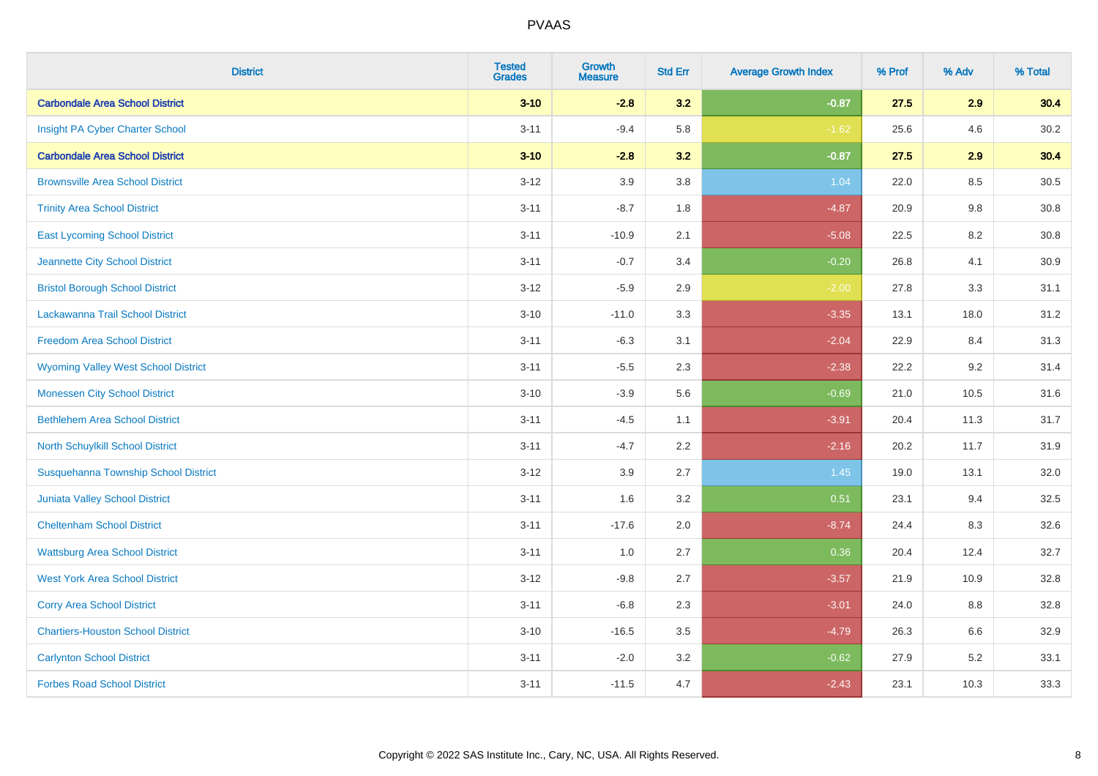| <b>District</b>                            | <b>Tested</b><br><b>Grades</b> | Growth<br><b>Measure</b> | <b>Std Err</b> | <b>Average Growth Index</b> | % Prof | % Adv | % Total |
|--------------------------------------------|--------------------------------|--------------------------|----------------|-----------------------------|--------|-------|---------|
| <b>Carbondale Area School District</b>     | $3 - 10$                       | $-2.8$                   | 3.2            | $-0.87$                     | 27.5   | 2.9   | 30.4    |
| Insight PA Cyber Charter School            | $3 - 11$                       | $-9.4$                   | 5.8            | $-1.62$                     | 25.6   | 4.6   | 30.2    |
| <b>Carbondale Area School District</b>     | $3 - 10$                       | $-2.8$                   | 3.2            | $-0.87$                     | 27.5   | 2.9   | 30.4    |
| <b>Brownsville Area School District</b>    | $3 - 12$                       | 3.9                      | 3.8            | 1.04                        | 22.0   | 8.5   | 30.5    |
| <b>Trinity Area School District</b>        | $3 - 11$                       | $-8.7$                   | 1.8            | $-4.87$                     | 20.9   | 9.8   | 30.8    |
| <b>East Lycoming School District</b>       | $3 - 11$                       | $-10.9$                  | 2.1            | $-5.08$                     | 22.5   | 8.2   | 30.8    |
| Jeannette City School District             | $3 - 11$                       | $-0.7$                   | 3.4            | $-0.20$                     | 26.8   | 4.1   | 30.9    |
| <b>Bristol Borough School District</b>     | $3 - 12$                       | $-5.9$                   | 2.9            | $-2.00$                     | 27.8   | 3.3   | 31.1    |
| Lackawanna Trail School District           | $3 - 10$                       | $-11.0$                  | 3.3            | $-3.35$                     | 13.1   | 18.0  | 31.2    |
| <b>Freedom Area School District</b>        | $3 - 11$                       | $-6.3$                   | 3.1            | $-2.04$                     | 22.9   | 8.4   | 31.3    |
| <b>Wyoming Valley West School District</b> | $3 - 11$                       | $-5.5$                   | 2.3            | $-2.38$                     | 22.2   | 9.2   | 31.4    |
| <b>Monessen City School District</b>       | $3 - 10$                       | $-3.9$                   | 5.6            | $-0.69$                     | 21.0   | 10.5  | 31.6    |
| <b>Bethlehem Area School District</b>      | $3 - 11$                       | $-4.5$                   | 1.1            | $-3.91$                     | 20.4   | 11.3  | 31.7    |
| North Schuylkill School District           | $3 - 11$                       | $-4.7$                   | 2.2            | $-2.16$                     | 20.2   | 11.7  | 31.9    |
| Susquehanna Township School District       | $3 - 12$                       | 3.9                      | 2.7            | 1.45                        | 19.0   | 13.1  | 32.0    |
| <b>Juniata Valley School District</b>      | $3 - 11$                       | 1.6                      | 3.2            | 0.51                        | 23.1   | 9.4   | 32.5    |
| <b>Cheltenham School District</b>          | $3 - 11$                       | $-17.6$                  | 2.0            | $-8.74$                     | 24.4   | 8.3   | 32.6    |
| <b>Wattsburg Area School District</b>      | $3 - 11$                       | 1.0                      | 2.7            | 0.36                        | 20.4   | 12.4  | 32.7    |
| <b>West York Area School District</b>      | $3 - 12$                       | $-9.8$                   | 2.7            | $-3.57$                     | 21.9   | 10.9  | 32.8    |
| <b>Corry Area School District</b>          | $3 - 11$                       | $-6.8$                   | 2.3            | $-3.01$                     | 24.0   | 8.8   | 32.8    |
| <b>Chartiers-Houston School District</b>   | $3 - 10$                       | $-16.5$                  | 3.5            | $-4.79$                     | 26.3   | 6.6   | 32.9    |
| <b>Carlynton School District</b>           | $3 - 11$                       | $-2.0$                   | 3.2            | $-0.62$                     | 27.9   | 5.2   | 33.1    |
| <b>Forbes Road School District</b>         | $3 - 11$                       | $-11.5$                  | 4.7            | $-2.43$                     | 23.1   | 10.3  | 33.3    |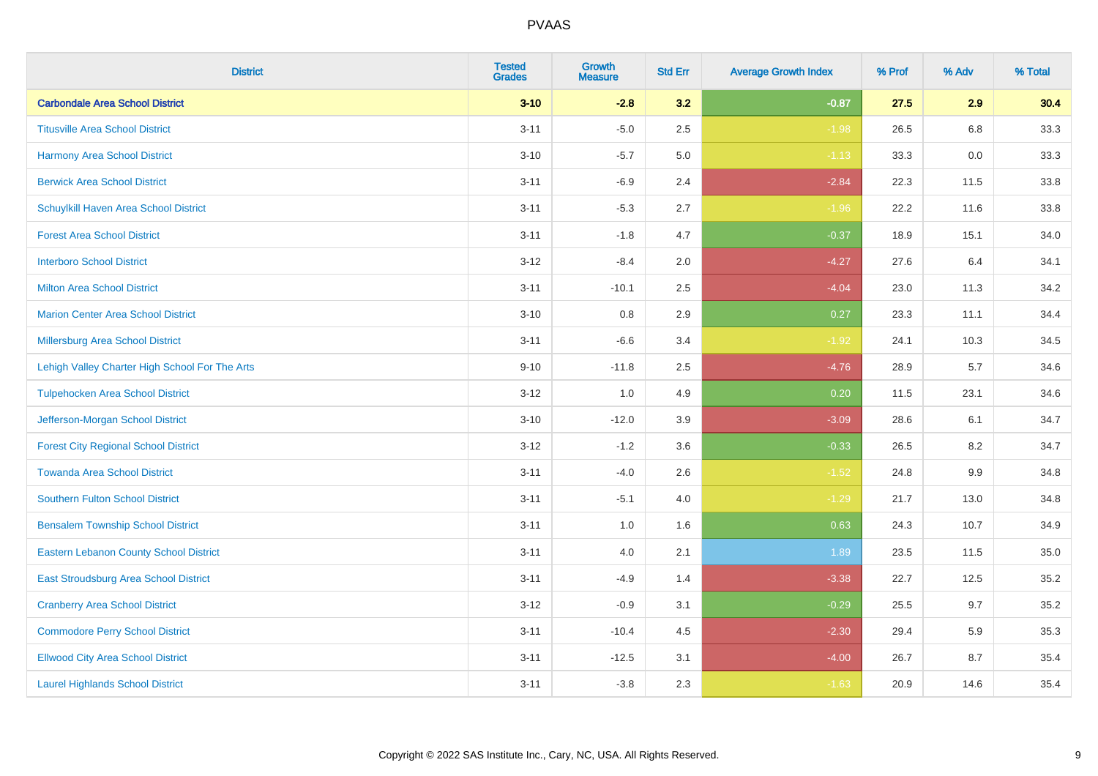| <b>District</b>                                | <b>Tested</b><br><b>Grades</b> | <b>Growth</b><br><b>Measure</b> | <b>Std Err</b> | <b>Average Growth Index</b> | % Prof | % Adv   | % Total |
|------------------------------------------------|--------------------------------|---------------------------------|----------------|-----------------------------|--------|---------|---------|
| <b>Carbondale Area School District</b>         | $3 - 10$                       | $-2.8$                          | 3.2            | $-0.87$                     | 27.5   | 2.9     | 30.4    |
| <b>Titusville Area School District</b>         | $3 - 11$                       | $-5.0$                          | 2.5            | $-1.98$                     | 26.5   | $6.8\,$ | 33.3    |
| <b>Harmony Area School District</b>            | $3 - 10$                       | $-5.7$                          | 5.0            | $-1.13$                     | 33.3   | 0.0     | 33.3    |
| <b>Berwick Area School District</b>            | $3 - 11$                       | $-6.9$                          | 2.4            | $-2.84$                     | 22.3   | 11.5    | 33.8    |
| Schuylkill Haven Area School District          | $3 - 11$                       | $-5.3$                          | 2.7            | $-1.96$                     | 22.2   | 11.6    | 33.8    |
| <b>Forest Area School District</b>             | $3 - 11$                       | $-1.8$                          | 4.7            | $-0.37$                     | 18.9   | 15.1    | 34.0    |
| <b>Interboro School District</b>               | $3 - 12$                       | $-8.4$                          | 2.0            | $-4.27$                     | 27.6   | 6.4     | 34.1    |
| <b>Milton Area School District</b>             | $3 - 11$                       | $-10.1$                         | 2.5            | $-4.04$                     | 23.0   | 11.3    | 34.2    |
| <b>Marion Center Area School District</b>      | $3 - 10$                       | 0.8                             | 2.9            | 0.27                        | 23.3   | 11.1    | 34.4    |
| Millersburg Area School District               | $3 - 11$                       | $-6.6$                          | 3.4            | $-1.92$                     | 24.1   | 10.3    | 34.5    |
| Lehigh Valley Charter High School For The Arts | $9 - 10$                       | $-11.8$                         | 2.5            | $-4.76$                     | 28.9   | 5.7     | 34.6    |
| <b>Tulpehocken Area School District</b>        | $3 - 12$                       | 1.0                             | 4.9            | 0.20                        | 11.5   | 23.1    | 34.6    |
| Jefferson-Morgan School District               | $3 - 10$                       | $-12.0$                         | 3.9            | $-3.09$                     | 28.6   | 6.1     | 34.7    |
| <b>Forest City Regional School District</b>    | $3 - 12$                       | $-1.2$                          | 3.6            | $-0.33$                     | 26.5   | 8.2     | 34.7    |
| <b>Towanda Area School District</b>            | $3 - 11$                       | $-4.0$                          | 2.6            | $-1.52$                     | 24.8   | $9.9\,$ | 34.8    |
| <b>Southern Fulton School District</b>         | $3 - 11$                       | $-5.1$                          | 4.0            | $-1.29$                     | 21.7   | 13.0    | 34.8    |
| <b>Bensalem Township School District</b>       | $3 - 11$                       | 1.0                             | 1.6            | 0.63                        | 24.3   | 10.7    | 34.9    |
| <b>Eastern Lebanon County School District</b>  | $3 - 11$                       | 4.0                             | 2.1            | 1.89                        | 23.5   | 11.5    | 35.0    |
| East Stroudsburg Area School District          | $3 - 11$                       | $-4.9$                          | 1.4            | $-3.38$                     | 22.7   | 12.5    | 35.2    |
| <b>Cranberry Area School District</b>          | $3 - 12$                       | $-0.9$                          | 3.1            | $-0.29$                     | 25.5   | 9.7     | 35.2    |
| <b>Commodore Perry School District</b>         | $3 - 11$                       | $-10.4$                         | 4.5            | $-2.30$                     | 29.4   | 5.9     | 35.3    |
| <b>Ellwood City Area School District</b>       | $3 - 11$                       | $-12.5$                         | 3.1            | $-4.00$                     | 26.7   | 8.7     | 35.4    |
| <b>Laurel Highlands School District</b>        | $3 - 11$                       | $-3.8$                          | 2.3            | $-1.63$                     | 20.9   | 14.6    | 35.4    |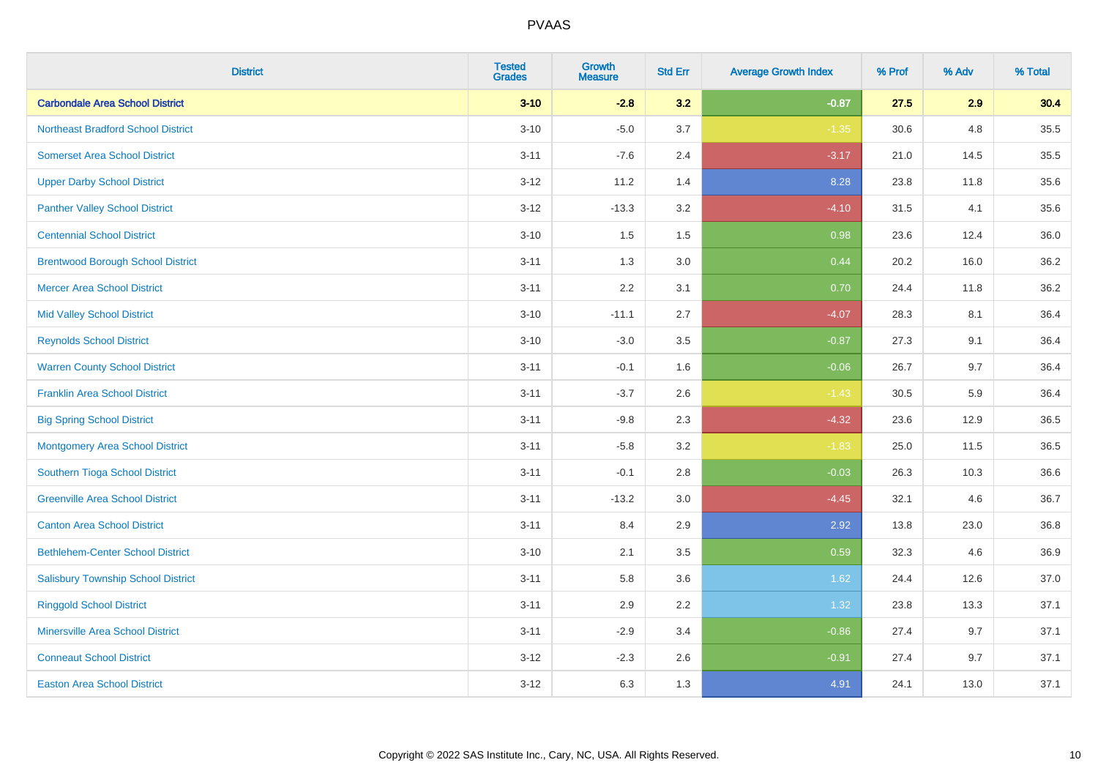| <b>District</b>                           | <b>Tested</b><br><b>Grades</b> | <b>Growth</b><br><b>Measure</b> | <b>Std Err</b> | <b>Average Growth Index</b> | % Prof | % Adv | % Total |
|-------------------------------------------|--------------------------------|---------------------------------|----------------|-----------------------------|--------|-------|---------|
| <b>Carbondale Area School District</b>    | $3 - 10$                       | $-2.8$                          | 3.2            | $-0.87$                     | 27.5   | 2.9   | 30.4    |
| <b>Northeast Bradford School District</b> | $3 - 10$                       | $-5.0$                          | 3.7            | $-1.35$                     | 30.6   | 4.8   | 35.5    |
| <b>Somerset Area School District</b>      | $3 - 11$                       | $-7.6$                          | 2.4            | $-3.17$                     | 21.0   | 14.5  | 35.5    |
| <b>Upper Darby School District</b>        | $3 - 12$                       | 11.2                            | 1.4            | 8.28                        | 23.8   | 11.8  | 35.6    |
| <b>Panther Valley School District</b>     | $3-12$                         | $-13.3$                         | 3.2            | $-4.10$                     | 31.5   | 4.1   | 35.6    |
| <b>Centennial School District</b>         | $3 - 10$                       | 1.5                             | 1.5            | 0.98                        | 23.6   | 12.4  | 36.0    |
| <b>Brentwood Borough School District</b>  | $3 - 11$                       | 1.3                             | 3.0            | 0.44                        | 20.2   | 16.0  | 36.2    |
| <b>Mercer Area School District</b>        | $3 - 11$                       | 2.2                             | 3.1            | 0.70                        | 24.4   | 11.8  | 36.2    |
| <b>Mid Valley School District</b>         | $3 - 10$                       | $-11.1$                         | 2.7            | $-4.07$                     | 28.3   | 8.1   | 36.4    |
| <b>Reynolds School District</b>           | $3 - 10$                       | $-3.0$                          | 3.5            | $-0.87$                     | 27.3   | 9.1   | 36.4    |
| <b>Warren County School District</b>      | $3 - 11$                       | $-0.1$                          | 1.6            | $-0.06$                     | 26.7   | 9.7   | 36.4    |
| <b>Franklin Area School District</b>      | $3 - 11$                       | $-3.7$                          | 2.6            | $-1.43$                     | 30.5   | 5.9   | 36.4    |
| <b>Big Spring School District</b>         | $3 - 11$                       | $-9.8$                          | 2.3            | $-4.32$                     | 23.6   | 12.9  | 36.5    |
| <b>Montgomery Area School District</b>    | $3 - 11$                       | $-5.8$                          | 3.2            | $-1.83$                     | 25.0   | 11.5  | 36.5    |
| Southern Tioga School District            | $3 - 11$                       | $-0.1$                          | 2.8            | $-0.03$                     | 26.3   | 10.3  | 36.6    |
| <b>Greenville Area School District</b>    | $3 - 11$                       | $-13.2$                         | 3.0            | $-4.45$                     | 32.1   | 4.6   | 36.7    |
| <b>Canton Area School District</b>        | $3 - 11$                       | 8.4                             | 2.9            | 2.92                        | 13.8   | 23.0  | 36.8    |
| <b>Bethlehem-Center School District</b>   | $3 - 10$                       | 2.1                             | 3.5            | 0.59                        | 32.3   | 4.6   | 36.9    |
| <b>Salisbury Township School District</b> | $3 - 11$                       | 5.8                             | 3.6            | 1.62                        | 24.4   | 12.6  | 37.0    |
| <b>Ringgold School District</b>           | $3 - 11$                       | 2.9                             | 2.2            | 1.32                        | 23.8   | 13.3  | 37.1    |
| <b>Minersville Area School District</b>   | $3 - 11$                       | $-2.9$                          | 3.4            | $-0.86$                     | 27.4   | 9.7   | 37.1    |
| <b>Conneaut School District</b>           | $3-12$                         | $-2.3$                          | 2.6            | $-0.91$                     | 27.4   | 9.7   | 37.1    |
| <b>Easton Area School District</b>        | $3 - 12$                       | 6.3                             | 1.3            | 4.91                        | 24.1   | 13.0  | 37.1    |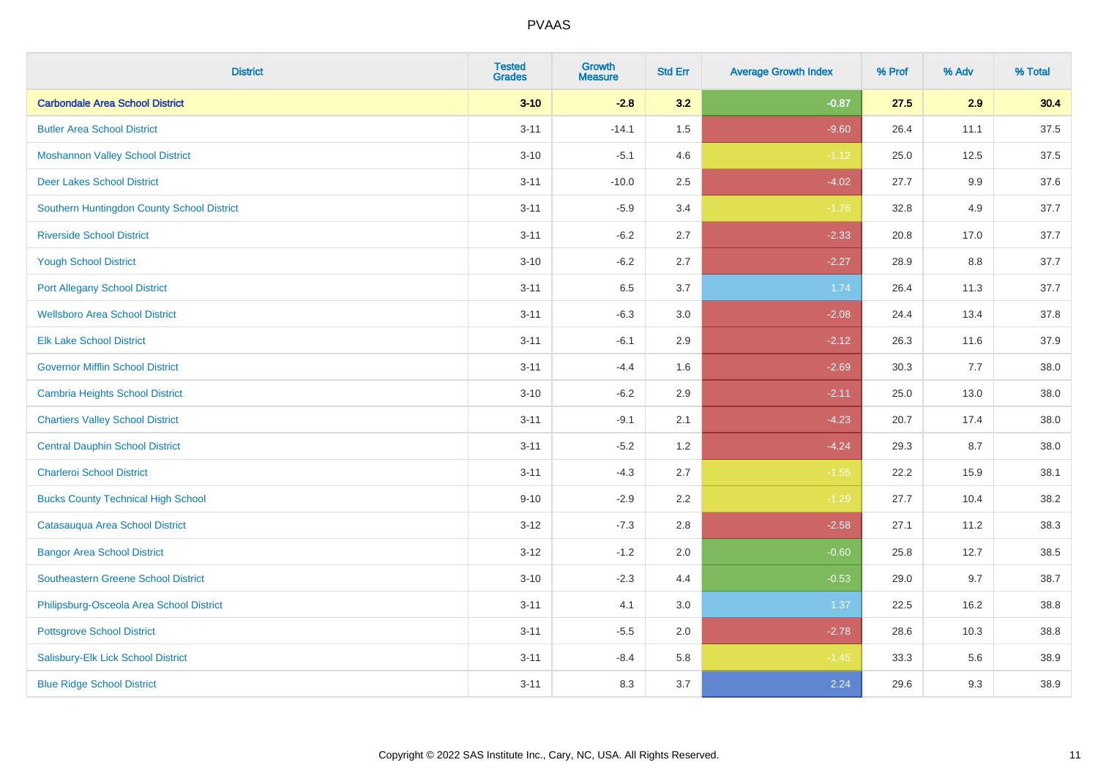| <b>District</b>                            | <b>Tested</b><br><b>Grades</b> | <b>Growth</b><br><b>Measure</b> | <b>Std Err</b> | <b>Average Growth Index</b> | % Prof | % Adv | % Total |
|--------------------------------------------|--------------------------------|---------------------------------|----------------|-----------------------------|--------|-------|---------|
| <b>Carbondale Area School District</b>     | $3 - 10$                       | $-2.8$                          | 3.2            | $-0.87$                     | 27.5   | 2.9   | 30.4    |
| <b>Butler Area School District</b>         | $3 - 11$                       | $-14.1$                         | 1.5            | $-9.60$                     | 26.4   | 11.1  | 37.5    |
| <b>Moshannon Valley School District</b>    | $3 - 10$                       | $-5.1$                          | 4.6            | $-1.12$                     | 25.0   | 12.5  | 37.5    |
| <b>Deer Lakes School District</b>          | $3 - 11$                       | $-10.0$                         | 2.5            | $-4.02$                     | 27.7   | 9.9   | 37.6    |
| Southern Huntingdon County School District | $3 - 11$                       | $-5.9$                          | 3.4            | $-1.76$                     | 32.8   | 4.9   | 37.7    |
| <b>Riverside School District</b>           | $3 - 11$                       | $-6.2$                          | 2.7            | $-2.33$                     | 20.8   | 17.0  | 37.7    |
| <b>Yough School District</b>               | $3 - 10$                       | $-6.2$                          | 2.7            | $-2.27$                     | 28.9   | 8.8   | 37.7    |
| <b>Port Allegany School District</b>       | $3 - 11$                       | 6.5                             | 3.7            | 1.74                        | 26.4   | 11.3  | 37.7    |
| <b>Wellsboro Area School District</b>      | $3 - 11$                       | $-6.3$                          | 3.0            | $-2.08$                     | 24.4   | 13.4  | 37.8    |
| <b>Elk Lake School District</b>            | $3 - 11$                       | $-6.1$                          | 2.9            | $-2.12$                     | 26.3   | 11.6  | 37.9    |
| <b>Governor Mifflin School District</b>    | $3 - 11$                       | $-4.4$                          | 1.6            | $-2.69$                     | 30.3   | 7.7   | 38.0    |
| <b>Cambria Heights School District</b>     | $3 - 10$                       | $-6.2$                          | 2.9            | $-2.11$                     | 25.0   | 13.0  | 38.0    |
| <b>Chartiers Valley School District</b>    | $3 - 11$                       | $-9.1$                          | 2.1            | $-4.23$                     | 20.7   | 17.4  | 38.0    |
| <b>Central Dauphin School District</b>     | $3 - 11$                       | $-5.2$                          | 1.2            | $-4.24$                     | 29.3   | 8.7   | 38.0    |
| <b>Charleroi School District</b>           | $3 - 11$                       | $-4.3$                          | 2.7            | $-1.55$                     | 22.2   | 15.9  | 38.1    |
| <b>Bucks County Technical High School</b>  | $9 - 10$                       | $-2.9$                          | 2.2            | $-1.29$                     | 27.7   | 10.4  | 38.2    |
| Catasauqua Area School District            | $3 - 12$                       | $-7.3$                          | 2.8            | $-2.58$                     | 27.1   | 11.2  | 38.3    |
| <b>Bangor Area School District</b>         | $3 - 12$                       | $-1.2$                          | 2.0            | $-0.60$                     | 25.8   | 12.7  | 38.5    |
| <b>Southeastern Greene School District</b> | $3 - 10$                       | $-2.3$                          | 4.4            | $-0.53$                     | 29.0   | 9.7   | 38.7    |
| Philipsburg-Osceola Area School District   | $3 - 11$                       | 4.1                             | 3.0            | 1.37                        | 22.5   | 16.2  | 38.8    |
| <b>Pottsgrove School District</b>          | $3 - 11$                       | $-5.5$                          | 2.0            | $-2.78$                     | 28.6   | 10.3  | 38.8    |
| Salisbury-Elk Lick School District         | $3 - 11$                       | $-8.4$                          | 5.8            | $-1.45$                     | 33.3   | 5.6   | 38.9    |
| <b>Blue Ridge School District</b>          | $3 - 11$                       | 8.3                             | 3.7            | 2.24                        | 29.6   | 9.3   | 38.9    |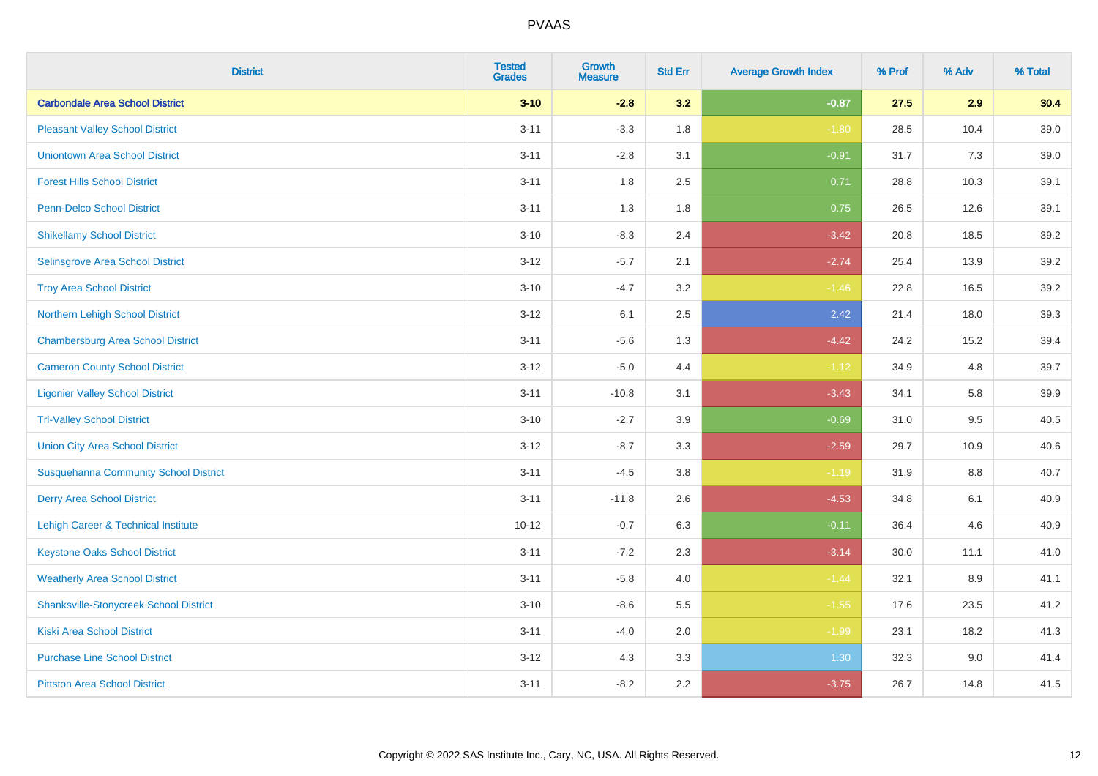| <b>District</b>                                | <b>Tested</b><br><b>Grades</b> | <b>Growth</b><br><b>Measure</b> | <b>Std Err</b> | <b>Average Growth Index</b> | % Prof | % Adv   | % Total |
|------------------------------------------------|--------------------------------|---------------------------------|----------------|-----------------------------|--------|---------|---------|
| <b>Carbondale Area School District</b>         | $3 - 10$                       | $-2.8$                          | 3.2            | $-0.87$                     | 27.5   | 2.9     | 30.4    |
| <b>Pleasant Valley School District</b>         | $3 - 11$                       | $-3.3$                          | 1.8            | $-1.80$                     | 28.5   | 10.4    | 39.0    |
| <b>Uniontown Area School District</b>          | $3 - 11$                       | $-2.8$                          | 3.1            | $-0.91$                     | 31.7   | 7.3     | 39.0    |
| <b>Forest Hills School District</b>            | $3 - 11$                       | 1.8                             | 2.5            | 0.71                        | 28.8   | 10.3    | 39.1    |
| <b>Penn-Delco School District</b>              | $3 - 11$                       | 1.3                             | 1.8            | 0.75                        | 26.5   | 12.6    | 39.1    |
| <b>Shikellamy School District</b>              | $3 - 10$                       | $-8.3$                          | 2.4            | $-3.42$                     | 20.8   | 18.5    | 39.2    |
| Selinsgrove Area School District               | $3 - 12$                       | $-5.7$                          | 2.1            | $-2.74$                     | 25.4   | 13.9    | 39.2    |
| <b>Troy Area School District</b>               | $3 - 10$                       | $-4.7$                          | 3.2            | $-1.46$                     | 22.8   | 16.5    | 39.2    |
| Northern Lehigh School District                | $3-12$                         | 6.1                             | 2.5            | 2.42                        | 21.4   | 18.0    | 39.3    |
| <b>Chambersburg Area School District</b>       | $3 - 11$                       | $-5.6$                          | 1.3            | $-4.42$                     | 24.2   | 15.2    | 39.4    |
| <b>Cameron County School District</b>          | $3 - 12$                       | $-5.0$                          | 4.4            | $-1.12$                     | 34.9   | 4.8     | 39.7    |
| <b>Ligonier Valley School District</b>         | $3 - 11$                       | $-10.8$                         | 3.1            | $-3.43$                     | 34.1   | 5.8     | 39.9    |
| <b>Tri-Valley School District</b>              | $3 - 10$                       | $-2.7$                          | 3.9            | $-0.69$                     | 31.0   | 9.5     | 40.5    |
| <b>Union City Area School District</b>         | $3 - 12$                       | $-8.7$                          | 3.3            | $-2.59$                     | 29.7   | 10.9    | 40.6    |
| <b>Susquehanna Community School District</b>   | $3 - 11$                       | $-4.5$                          | $3.8\,$        | $-1.19$                     | 31.9   | $8.8\,$ | 40.7    |
| <b>Derry Area School District</b>              | $3 - 11$                       | $-11.8$                         | 2.6            | $-4.53$                     | 34.8   | 6.1     | 40.9    |
| <b>Lehigh Career &amp; Technical Institute</b> | $10 - 12$                      | $-0.7$                          | 6.3            | $-0.11$                     | 36.4   | 4.6     | 40.9    |
| <b>Keystone Oaks School District</b>           | $3 - 11$                       | $-7.2$                          | 2.3            | $-3.14$                     | 30.0   | 11.1    | 41.0    |
| <b>Weatherly Area School District</b>          | $3 - 11$                       | $-5.8$                          | 4.0            | $-1.44$                     | 32.1   | 8.9     | 41.1    |
| <b>Shanksville-Stonycreek School District</b>  | $3 - 10$                       | $-8.6$                          | 5.5            | $-1.55$                     | 17.6   | 23.5    | 41.2    |
| <b>Kiski Area School District</b>              | $3 - 11$                       | $-4.0$                          | 2.0            | $-1.99$                     | 23.1   | 18.2    | 41.3    |
| <b>Purchase Line School District</b>           | $3 - 12$                       | 4.3                             | 3.3            | 1.30                        | 32.3   | $9.0\,$ | 41.4    |
| <b>Pittston Area School District</b>           | $3 - 11$                       | $-8.2$                          | 2.2            | $-3.75$                     | 26.7   | 14.8    | 41.5    |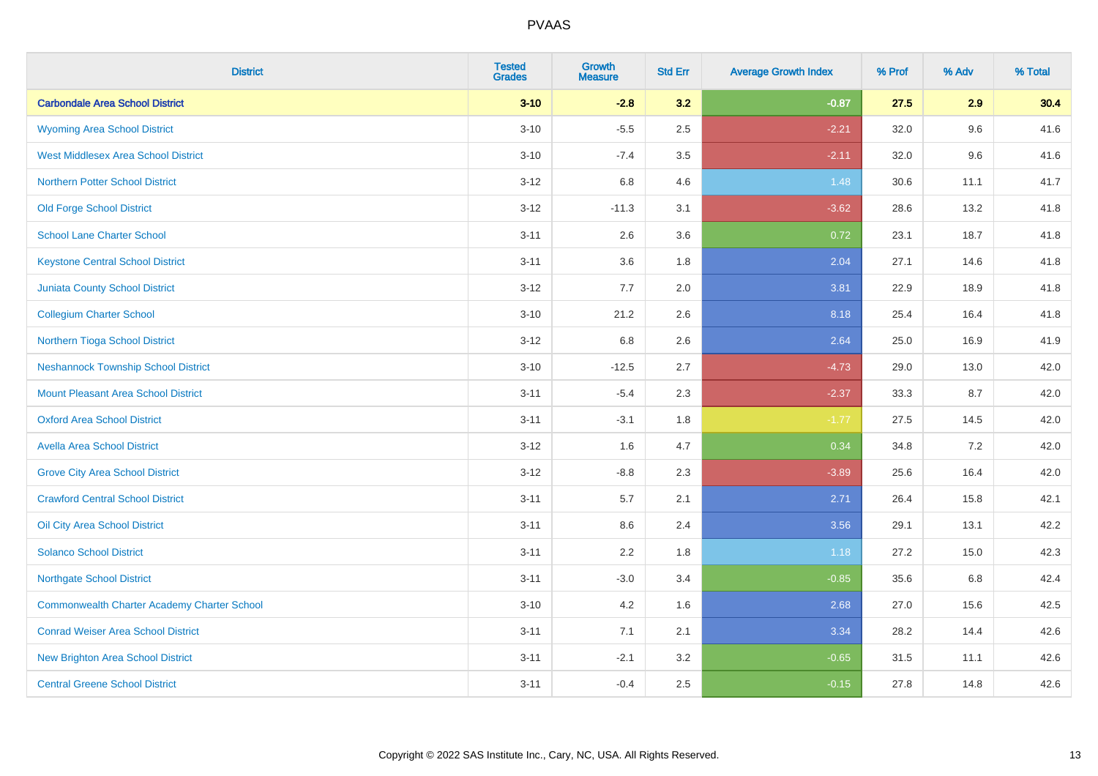| <b>District</b>                                    | <b>Tested</b><br><b>Grades</b> | <b>Growth</b><br><b>Measure</b> | <b>Std Err</b> | <b>Average Growth Index</b> | % Prof | % Adv | % Total |
|----------------------------------------------------|--------------------------------|---------------------------------|----------------|-----------------------------|--------|-------|---------|
| <b>Carbondale Area School District</b>             | $3 - 10$                       | $-2.8$                          | 3.2            | $-0.87$                     | 27.5   | 2.9   | 30.4    |
| <b>Wyoming Area School District</b>                | $3 - 10$                       | $-5.5$                          | 2.5            | $-2.21$                     | 32.0   | 9.6   | 41.6    |
| <b>West Middlesex Area School District</b>         | $3 - 10$                       | $-7.4$                          | 3.5            | $-2.11$                     | 32.0   | 9.6   | 41.6    |
| <b>Northern Potter School District</b>             | $3 - 12$                       | 6.8                             | 4.6            | 1.48                        | 30.6   | 11.1  | 41.7    |
| <b>Old Forge School District</b>                   | $3 - 12$                       | $-11.3$                         | 3.1            | $-3.62$                     | 28.6   | 13.2  | 41.8    |
| <b>School Lane Charter School</b>                  | $3 - 11$                       | 2.6                             | 3.6            | 0.72                        | 23.1   | 18.7  | 41.8    |
| <b>Keystone Central School District</b>            | $3 - 11$                       | 3.6                             | 1.8            | 2.04                        | 27.1   | 14.6  | 41.8    |
| <b>Juniata County School District</b>              | $3 - 12$                       | 7.7                             | 2.0            | 3.81                        | 22.9   | 18.9  | 41.8    |
| <b>Collegium Charter School</b>                    | $3 - 10$                       | 21.2                            | 2.6            | 8.18                        | 25.4   | 16.4  | 41.8    |
| Northern Tioga School District                     | $3 - 12$                       | 6.8                             | 2.6            | 2.64                        | 25.0   | 16.9  | 41.9    |
| <b>Neshannock Township School District</b>         | $3 - 10$                       | $-12.5$                         | 2.7            | $-4.73$                     | 29.0   | 13.0  | 42.0    |
| Mount Pleasant Area School District                | $3 - 11$                       | $-5.4$                          | 2.3            | $-2.37$                     | 33.3   | 8.7   | 42.0    |
| <b>Oxford Area School District</b>                 | $3 - 11$                       | $-3.1$                          | 1.8            | $-1.77$                     | 27.5   | 14.5  | 42.0    |
| <b>Avella Area School District</b>                 | $3 - 12$                       | 1.6                             | 4.7            | 0.34                        | 34.8   | 7.2   | 42.0    |
| <b>Grove City Area School District</b>             | $3 - 12$                       | $-8.8$                          | 2.3            | $-3.89$                     | 25.6   | 16.4  | 42.0    |
| <b>Crawford Central School District</b>            | $3 - 11$                       | 5.7                             | 2.1            | 2.71                        | 26.4   | 15.8  | 42.1    |
| <b>Oil City Area School District</b>               | $3 - 11$                       | 8.6                             | 2.4            | 3.56                        | 29.1   | 13.1  | 42.2    |
| <b>Solanco School District</b>                     | $3 - 11$                       | 2.2                             | 1.8            | 1.18                        | 27.2   | 15.0  | 42.3    |
| <b>Northgate School District</b>                   | $3 - 11$                       | $-3.0$                          | 3.4            | $-0.85$                     | 35.6   | 6.8   | 42.4    |
| <b>Commonwealth Charter Academy Charter School</b> | $3 - 10$                       | 4.2                             | 1.6            | 2.68                        | 27.0   | 15.6  | 42.5    |
| <b>Conrad Weiser Area School District</b>          | $3 - 11$                       | 7.1                             | 2.1            | 3.34                        | 28.2   | 14.4  | 42.6    |
| <b>New Brighton Area School District</b>           | $3 - 11$                       | $-2.1$                          | 3.2            | $-0.65$                     | 31.5   | 11.1  | 42.6    |
| <b>Central Greene School District</b>              | $3 - 11$                       | $-0.4$                          | 2.5            | $-0.15$                     | 27.8   | 14.8  | 42.6    |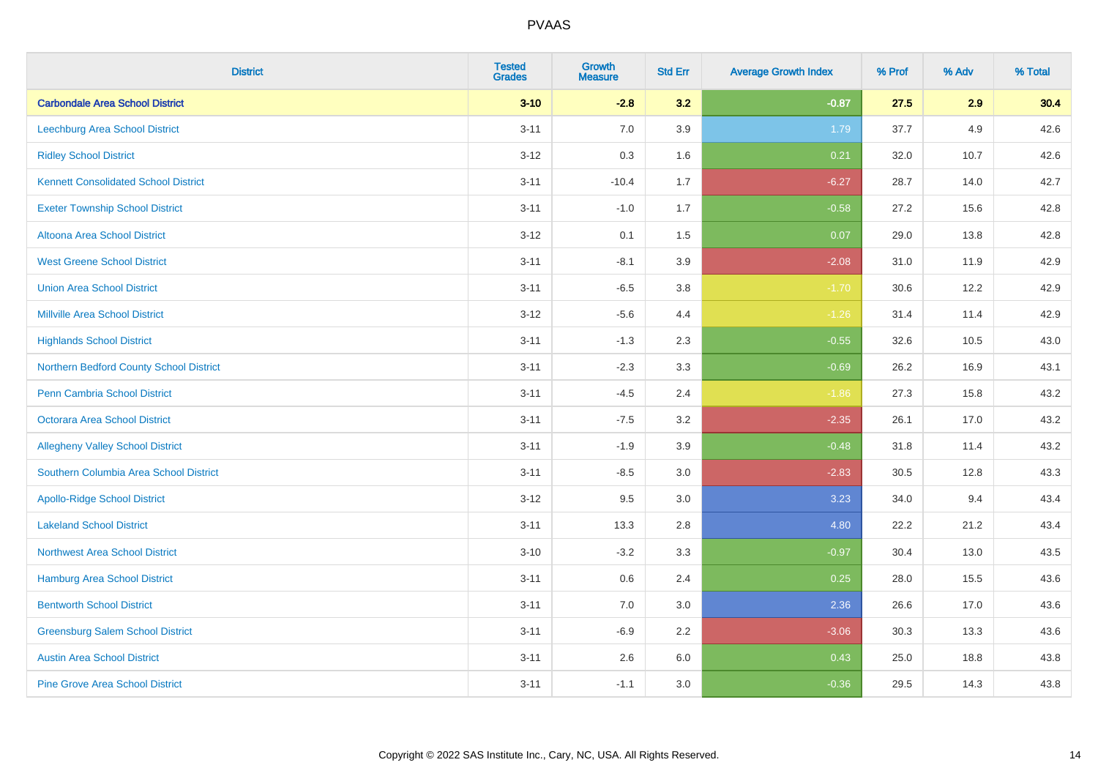| <b>District</b>                             | <b>Tested</b><br><b>Grades</b> | <b>Growth</b><br><b>Measure</b> | <b>Std Err</b> | <b>Average Growth Index</b> | % Prof | % Adv | % Total |
|---------------------------------------------|--------------------------------|---------------------------------|----------------|-----------------------------|--------|-------|---------|
| <b>Carbondale Area School District</b>      | $3 - 10$                       | $-2.8$                          | 3.2            | $-0.87$                     | 27.5   | 2.9   | 30.4    |
| Leechburg Area School District              | $3 - 11$                       | 7.0                             | 3.9            | 1.79                        | 37.7   | 4.9   | 42.6    |
| <b>Ridley School District</b>               | $3 - 12$                       | 0.3                             | 1.6            | 0.21                        | 32.0   | 10.7  | 42.6    |
| <b>Kennett Consolidated School District</b> | $3 - 11$                       | $-10.4$                         | 1.7            | $-6.27$                     | 28.7   | 14.0  | 42.7    |
| <b>Exeter Township School District</b>      | $3 - 11$                       | $-1.0$                          | 1.7            | $-0.58$                     | 27.2   | 15.6  | 42.8    |
| Altoona Area School District                | $3 - 12$                       | 0.1                             | 1.5            | 0.07                        | 29.0   | 13.8  | 42.8    |
| <b>West Greene School District</b>          | $3 - 11$                       | $-8.1$                          | 3.9            | $-2.08$                     | 31.0   | 11.9  | 42.9    |
| <b>Union Area School District</b>           | $3 - 11$                       | $-6.5$                          | 3.8            | $-1.70$                     | 30.6   | 12.2  | 42.9    |
| <b>Millville Area School District</b>       | $3 - 12$                       | $-5.6$                          | 4.4            | $-1.26$                     | 31.4   | 11.4  | 42.9    |
| <b>Highlands School District</b>            | $3 - 11$                       | $-1.3$                          | 2.3            | $-0.55$                     | 32.6   | 10.5  | 43.0    |
| Northern Bedford County School District     | $3 - 11$                       | $-2.3$                          | 3.3            | $-0.69$                     | 26.2   | 16.9  | 43.1    |
| <b>Penn Cambria School District</b>         | $3 - 11$                       | $-4.5$                          | 2.4            | $-1.86$                     | 27.3   | 15.8  | 43.2    |
| <b>Octorara Area School District</b>        | $3 - 11$                       | $-7.5$                          | 3.2            | $-2.35$                     | 26.1   | 17.0  | 43.2    |
| <b>Allegheny Valley School District</b>     | $3 - 11$                       | $-1.9$                          | 3.9            | $-0.48$                     | 31.8   | 11.4  | 43.2    |
| Southern Columbia Area School District      | $3 - 11$                       | $-8.5$                          | 3.0            | $-2.83$                     | 30.5   | 12.8  | 43.3    |
| <b>Apollo-Ridge School District</b>         | $3-12$                         | 9.5                             | 3.0            | 3.23                        | 34.0   | 9.4   | 43.4    |
| <b>Lakeland School District</b>             | $3 - 11$                       | 13.3                            | 2.8            | 4.80                        | 22.2   | 21.2  | 43.4    |
| <b>Northwest Area School District</b>       | $3 - 10$                       | $-3.2$                          | 3.3            | $-0.97$                     | 30.4   | 13.0  | 43.5    |
| Hamburg Area School District                | $3 - 11$                       | 0.6                             | 2.4            | 0.25                        | 28.0   | 15.5  | 43.6    |
| <b>Bentworth School District</b>            | $3 - 11$                       | 7.0                             | 3.0            | 2.36                        | 26.6   | 17.0  | 43.6    |
| <b>Greensburg Salem School District</b>     | $3 - 11$                       | $-6.9$                          | 2.2            | $-3.06$                     | 30.3   | 13.3  | 43.6    |
| <b>Austin Area School District</b>          | $3 - 11$                       | 2.6                             | 6.0            | 0.43                        | 25.0   | 18.8  | 43.8    |
| <b>Pine Grove Area School District</b>      | $3 - 11$                       | $-1.1$                          | 3.0            | $-0.36$                     | 29.5   | 14.3  | 43.8    |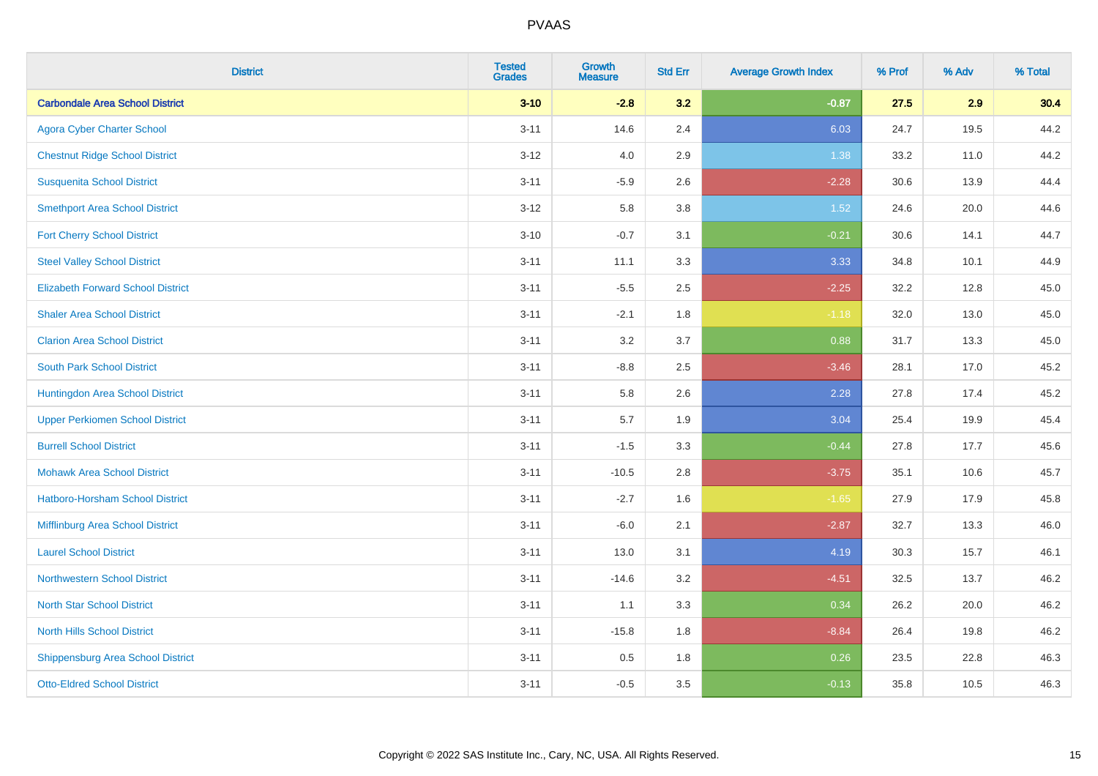| <b>District</b>                          | <b>Tested</b><br><b>Grades</b> | Growth<br><b>Measure</b> | <b>Std Err</b> | <b>Average Growth Index</b> | % Prof | % Adv | % Total |
|------------------------------------------|--------------------------------|--------------------------|----------------|-----------------------------|--------|-------|---------|
| <b>Carbondale Area School District</b>   | $3 - 10$                       | $-2.8$                   | 3.2            | $-0.87$                     | 27.5   | 2.9   | 30.4    |
| <b>Agora Cyber Charter School</b>        | $3 - 11$                       | 14.6                     | 2.4            | 6.03                        | 24.7   | 19.5  | 44.2    |
| <b>Chestnut Ridge School District</b>    | $3 - 12$                       | 4.0                      | 2.9            | 1.38                        | 33.2   | 11.0  | 44.2    |
| <b>Susquenita School District</b>        | $3 - 11$                       | $-5.9$                   | 2.6            | $-2.28$                     | 30.6   | 13.9  | 44.4    |
| <b>Smethport Area School District</b>    | $3 - 12$                       | 5.8                      | 3.8            | 1.52                        | 24.6   | 20.0  | 44.6    |
| <b>Fort Cherry School District</b>       | $3 - 10$                       | $-0.7$                   | 3.1            | $-0.21$                     | 30.6   | 14.1  | 44.7    |
| <b>Steel Valley School District</b>      | $3 - 11$                       | 11.1                     | 3.3            | 3.33                        | 34.8   | 10.1  | 44.9    |
| <b>Elizabeth Forward School District</b> | $3 - 11$                       | $-5.5$                   | 2.5            | $-2.25$                     | 32.2   | 12.8  | 45.0    |
| <b>Shaler Area School District</b>       | $3 - 11$                       | $-2.1$                   | 1.8            | $-1.18$                     | 32.0   | 13.0  | 45.0    |
| <b>Clarion Area School District</b>      | $3 - 11$                       | 3.2                      | 3.7            | 0.88                        | 31.7   | 13.3  | 45.0    |
| <b>South Park School District</b>        | $3 - 11$                       | $-8.8$                   | 2.5            | $-3.46$                     | 28.1   | 17.0  | 45.2    |
| Huntingdon Area School District          | $3 - 11$                       | 5.8                      | 2.6            | 2.28                        | 27.8   | 17.4  | 45.2    |
| <b>Upper Perkiomen School District</b>   | $3 - 11$                       | 5.7                      | 1.9            | 3.04                        | 25.4   | 19.9  | 45.4    |
| <b>Burrell School District</b>           | $3 - 11$                       | $-1.5$                   | 3.3            | $-0.44$                     | 27.8   | 17.7  | 45.6    |
| <b>Mohawk Area School District</b>       | $3 - 11$                       | $-10.5$                  | 2.8            | $-3.75$                     | 35.1   | 10.6  | 45.7    |
| <b>Hatboro-Horsham School District</b>   | $3 - 11$                       | $-2.7$                   | 1.6            | $-1.65$                     | 27.9   | 17.9  | 45.8    |
| Mifflinburg Area School District         | $3 - 11$                       | $-6.0$                   | 2.1            | $-2.87$                     | 32.7   | 13.3  | 46.0    |
| <b>Laurel School District</b>            | $3 - 11$                       | 13.0                     | 3.1            | 4.19                        | 30.3   | 15.7  | 46.1    |
| Northwestern School District             | $3 - 11$                       | $-14.6$                  | 3.2            | $-4.51$                     | 32.5   | 13.7  | 46.2    |
| <b>North Star School District</b>        | $3 - 11$                       | 1.1                      | 3.3            | 0.34                        | 26.2   | 20.0  | 46.2    |
| <b>North Hills School District</b>       | $3 - 11$                       | $-15.8$                  | 1.8            | $-8.84$                     | 26.4   | 19.8  | 46.2    |
| <b>Shippensburg Area School District</b> | $3 - 11$                       | 0.5                      | 1.8            | 0.26                        | 23.5   | 22.8  | 46.3    |
| <b>Otto-Eldred School District</b>       | $3 - 11$                       | $-0.5$                   | 3.5            | $-0.13$                     | 35.8   | 10.5  | 46.3    |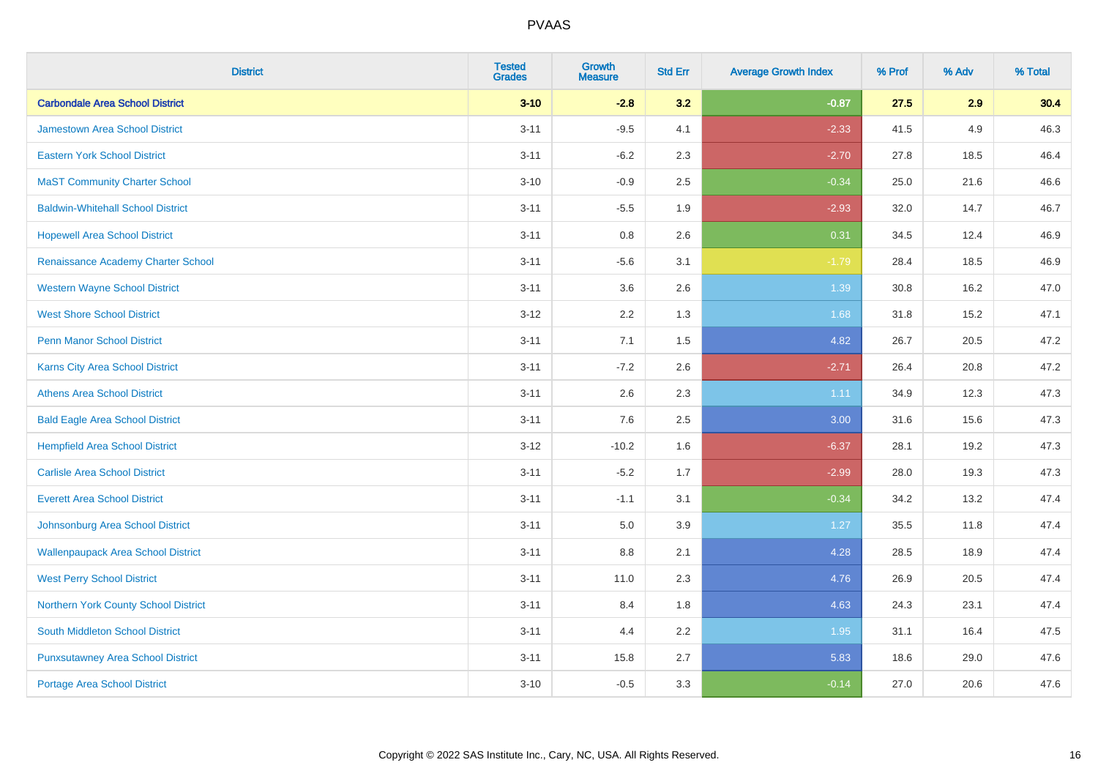| <b>District</b>                           | <b>Tested</b><br><b>Grades</b> | <b>Growth</b><br><b>Measure</b> | <b>Std Err</b> | <b>Average Growth Index</b> | % Prof | % Adv | % Total |
|-------------------------------------------|--------------------------------|---------------------------------|----------------|-----------------------------|--------|-------|---------|
| <b>Carbondale Area School District</b>    | $3 - 10$                       | $-2.8$                          | 3.2            | $-0.87$                     | 27.5   | 2.9   | 30.4    |
| <b>Jamestown Area School District</b>     | $3 - 11$                       | $-9.5$                          | 4.1            | $-2.33$                     | 41.5   | 4.9   | 46.3    |
| <b>Eastern York School District</b>       | $3 - 11$                       | $-6.2$                          | 2.3            | $-2.70$                     | 27.8   | 18.5  | 46.4    |
| <b>MaST Community Charter School</b>      | $3 - 10$                       | $-0.9$                          | 2.5            | $-0.34$                     | 25.0   | 21.6  | 46.6    |
| <b>Baldwin-Whitehall School District</b>  | $3 - 11$                       | $-5.5$                          | 1.9            | $-2.93$                     | 32.0   | 14.7  | 46.7    |
| <b>Hopewell Area School District</b>      | $3 - 11$                       | 0.8                             | 2.6            | 0.31                        | 34.5   | 12.4  | 46.9    |
| Renaissance Academy Charter School        | $3 - 11$                       | $-5.6$                          | 3.1            | $-1.79$                     | 28.4   | 18.5  | 46.9    |
| <b>Western Wayne School District</b>      | $3 - 11$                       | 3.6                             | 2.6            | 1.39                        | 30.8   | 16.2  | 47.0    |
| <b>West Shore School District</b>         | $3 - 12$                       | 2.2                             | 1.3            | 1.68                        | 31.8   | 15.2  | 47.1    |
| <b>Penn Manor School District</b>         | $3 - 11$                       | 7.1                             | 1.5            | 4.82                        | 26.7   | 20.5  | 47.2    |
| Karns City Area School District           | $3 - 11$                       | $-7.2$                          | 2.6            | $-2.71$                     | 26.4   | 20.8  | 47.2    |
| <b>Athens Area School District</b>        | $3 - 11$                       | 2.6                             | 2.3            | 1.11                        | 34.9   | 12.3  | 47.3    |
| <b>Bald Eagle Area School District</b>    | $3 - 11$                       | 7.6                             | 2.5            | 3.00                        | 31.6   | 15.6  | 47.3    |
| <b>Hempfield Area School District</b>     | $3 - 12$                       | $-10.2$                         | 1.6            | $-6.37$                     | 28.1   | 19.2  | 47.3    |
| <b>Carlisle Area School District</b>      | $3 - 11$                       | $-5.2$                          | 1.7            | $-2.99$                     | 28.0   | 19.3  | 47.3    |
| <b>Everett Area School District</b>       | $3 - 11$                       | $-1.1$                          | 3.1            | $-0.34$                     | 34.2   | 13.2  | 47.4    |
| Johnsonburg Area School District          | $3 - 11$                       | 5.0                             | 3.9            | 1.27                        | 35.5   | 11.8  | 47.4    |
| <b>Wallenpaupack Area School District</b> | $3 - 11$                       | 8.8                             | 2.1            | 4.28                        | 28.5   | 18.9  | 47.4    |
| <b>West Perry School District</b>         | $3 - 11$                       | 11.0                            | 2.3            | 4.76                        | 26.9   | 20.5  | 47.4    |
| Northern York County School District      | $3 - 11$                       | 8.4                             | 1.8            | 4.63                        | 24.3   | 23.1  | 47.4    |
| South Middleton School District           | $3 - 11$                       | 4.4                             | 2.2            | 1.95                        | 31.1   | 16.4  | 47.5    |
| <b>Punxsutawney Area School District</b>  | $3 - 11$                       | 15.8                            | 2.7            | 5.83                        | 18.6   | 29.0  | 47.6    |
| Portage Area School District              | $3 - 10$                       | $-0.5$                          | 3.3            | $-0.14$                     | 27.0   | 20.6  | 47.6    |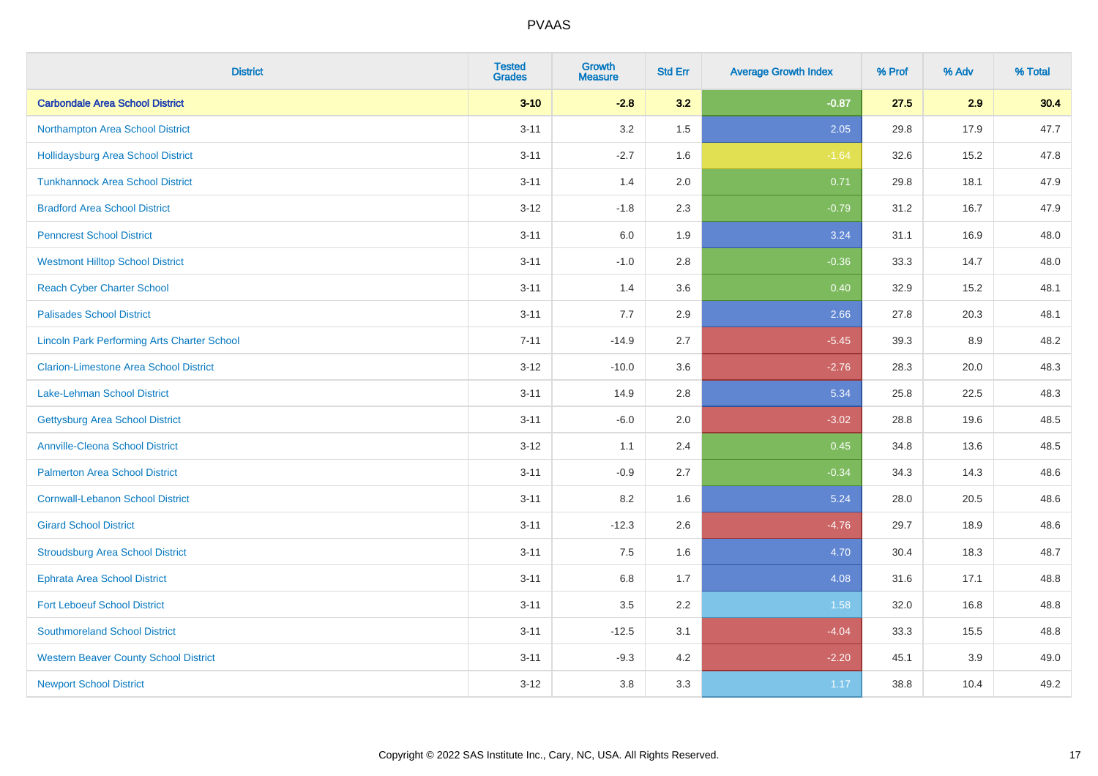| <b>District</b>                                    | <b>Tested</b><br><b>Grades</b> | <b>Growth</b><br><b>Measure</b> | <b>Std Err</b> | <b>Average Growth Index</b> | % Prof | % Adv | % Total |
|----------------------------------------------------|--------------------------------|---------------------------------|----------------|-----------------------------|--------|-------|---------|
| <b>Carbondale Area School District</b>             | $3 - 10$                       | $-2.8$                          | 3.2            | $-0.87$                     | 27.5   | 2.9   | 30.4    |
| Northampton Area School District                   | $3 - 11$                       | 3.2                             | 1.5            | 2.05                        | 29.8   | 17.9  | 47.7    |
| <b>Hollidaysburg Area School District</b>          | $3 - 11$                       | $-2.7$                          | 1.6            | $-1.64$                     | 32.6   | 15.2  | 47.8    |
| <b>Tunkhannock Area School District</b>            | $3 - 11$                       | 1.4                             | 2.0            | 0.71                        | 29.8   | 18.1  | 47.9    |
| <b>Bradford Area School District</b>               | $3 - 12$                       | $-1.8$                          | 2.3            | $-0.79$                     | 31.2   | 16.7  | 47.9    |
| <b>Penncrest School District</b>                   | $3 - 11$                       | 6.0                             | 1.9            | 3.24                        | 31.1   | 16.9  | 48.0    |
| <b>Westmont Hilltop School District</b>            | $3 - 11$                       | $-1.0$                          | 2.8            | $-0.36$                     | 33.3   | 14.7  | 48.0    |
| <b>Reach Cyber Charter School</b>                  | $3 - 11$                       | 1.4                             | 3.6            | 0.40                        | 32.9   | 15.2  | 48.1    |
| <b>Palisades School District</b>                   | $3 - 11$                       | 7.7                             | 2.9            | 2.66                        | 27.8   | 20.3  | 48.1    |
| <b>Lincoln Park Performing Arts Charter School</b> | $7 - 11$                       | $-14.9$                         | 2.7            | $-5.45$                     | 39.3   | 8.9   | 48.2    |
| <b>Clarion-Limestone Area School District</b>      | $3 - 12$                       | $-10.0$                         | 3.6            | $-2.76$                     | 28.3   | 20.0  | 48.3    |
| <b>Lake-Lehman School District</b>                 | $3 - 11$                       | 14.9                            | 2.8            | 5.34                        | 25.8   | 22.5  | 48.3    |
| <b>Gettysburg Area School District</b>             | $3 - 11$                       | $-6.0$                          | 2.0            | $-3.02$                     | 28.8   | 19.6  | 48.5    |
| <b>Annville-Cleona School District</b>             | $3 - 12$                       | 1.1                             | 2.4            | 0.45                        | 34.8   | 13.6  | 48.5    |
| <b>Palmerton Area School District</b>              | $3 - 11$                       | $-0.9$                          | 2.7            | $-0.34$                     | 34.3   | 14.3  | 48.6    |
| <b>Cornwall-Lebanon School District</b>            | $3 - 11$                       | 8.2                             | 1.6            | 5.24                        | 28.0   | 20.5  | 48.6    |
| <b>Girard School District</b>                      | $3 - 11$                       | $-12.3$                         | 2.6            | $-4.76$                     | 29.7   | 18.9  | 48.6    |
| <b>Stroudsburg Area School District</b>            | $3 - 11$                       | 7.5                             | 1.6            | 4.70                        | 30.4   | 18.3  | 48.7    |
| <b>Ephrata Area School District</b>                | $3 - 11$                       | $6.8\,$                         | 1.7            | 4.08                        | 31.6   | 17.1  | 48.8    |
| <b>Fort Leboeuf School District</b>                | $3 - 11$                       | 3.5                             | 2.2            | 1.58                        | 32.0   | 16.8  | 48.8    |
| <b>Southmoreland School District</b>               | $3 - 11$                       | $-12.5$                         | 3.1            | $-4.04$                     | 33.3   | 15.5  | 48.8    |
| <b>Western Beaver County School District</b>       | $3 - 11$                       | $-9.3$                          | 4.2            | $-2.20$                     | 45.1   | 3.9   | 49.0    |
| <b>Newport School District</b>                     | $3 - 12$                       | 3.8                             | 3.3            | 1.17                        | 38.8   | 10.4  | 49.2    |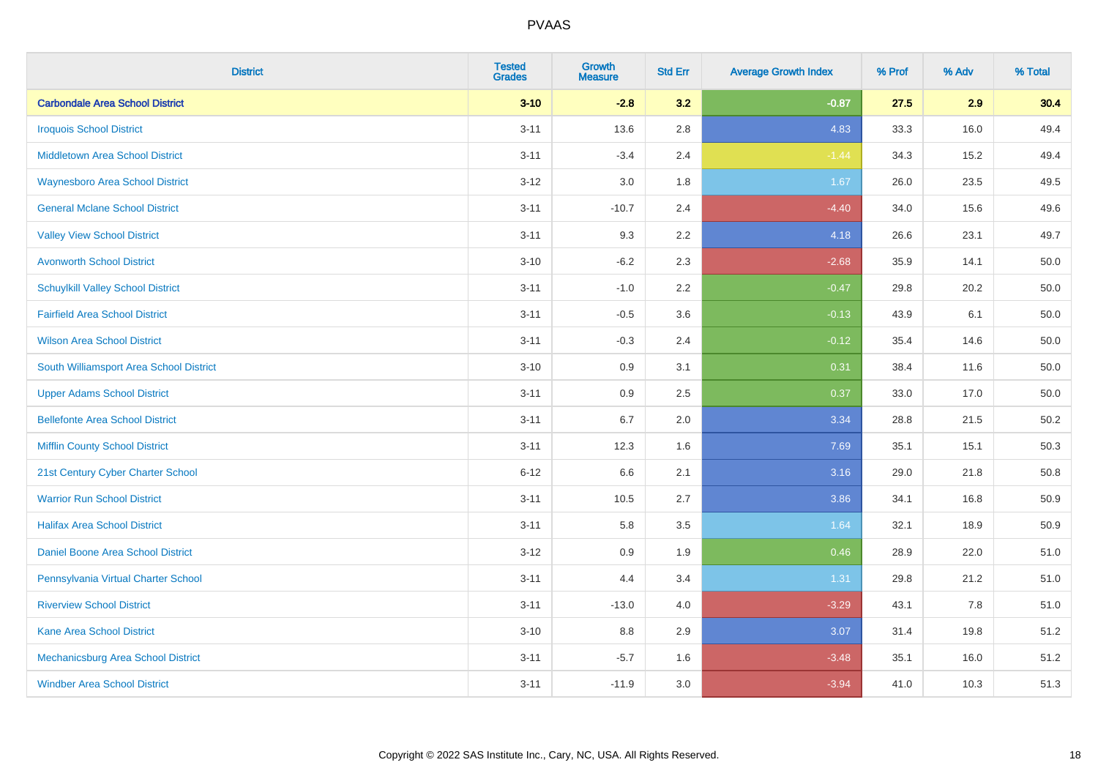| <b>District</b>                          | <b>Tested</b><br><b>Grades</b> | <b>Growth</b><br><b>Measure</b> | <b>Std Err</b> | <b>Average Growth Index</b> | % Prof | % Adv | % Total |
|------------------------------------------|--------------------------------|---------------------------------|----------------|-----------------------------|--------|-------|---------|
| <b>Carbondale Area School District</b>   | $3 - 10$                       | $-2.8$                          | 3.2            | $-0.87$                     | 27.5   | 2.9   | 30.4    |
| <b>Iroquois School District</b>          | $3 - 11$                       | 13.6                            | 2.8            | 4.83                        | 33.3   | 16.0  | 49.4    |
| <b>Middletown Area School District</b>   | $3 - 11$                       | $-3.4$                          | 2.4            | $-1.44$                     | 34.3   | 15.2  | 49.4    |
| <b>Waynesboro Area School District</b>   | $3 - 12$                       | 3.0                             | 1.8            | 1.67                        | 26.0   | 23.5  | 49.5    |
| <b>General Mclane School District</b>    | $3 - 11$                       | $-10.7$                         | 2.4            | $-4.40$                     | 34.0   | 15.6  | 49.6    |
| <b>Valley View School District</b>       | $3 - 11$                       | 9.3                             | 2.2            | 4.18                        | 26.6   | 23.1  | 49.7    |
| <b>Avonworth School District</b>         | $3 - 10$                       | $-6.2$                          | 2.3            | $-2.68$                     | 35.9   | 14.1  | 50.0    |
| <b>Schuylkill Valley School District</b> | $3 - 11$                       | $-1.0$                          | 2.2            | $-0.47$                     | 29.8   | 20.2  | 50.0    |
| <b>Fairfield Area School District</b>    | $3 - 11$                       | $-0.5$                          | 3.6            | $-0.13$                     | 43.9   | 6.1   | 50.0    |
| <b>Wilson Area School District</b>       | $3 - 11$                       | $-0.3$                          | 2.4            | $-0.12$                     | 35.4   | 14.6  | 50.0    |
| South Williamsport Area School District  | $3 - 10$                       | 0.9                             | 3.1            | 0.31                        | 38.4   | 11.6  | 50.0    |
| <b>Upper Adams School District</b>       | $3 - 11$                       | 0.9                             | 2.5            | 0.37                        | 33.0   | 17.0  | 50.0    |
| <b>Bellefonte Area School District</b>   | $3 - 11$                       | 6.7                             | 2.0            | 3.34                        | 28.8   | 21.5  | 50.2    |
| <b>Mifflin County School District</b>    | $3 - 11$                       | 12.3                            | 1.6            | 7.69                        | 35.1   | 15.1  | 50.3    |
| 21st Century Cyber Charter School        | $6 - 12$                       | 6.6                             | 2.1            | 3.16                        | 29.0   | 21.8  | 50.8    |
| <b>Warrior Run School District</b>       | $3 - 11$                       | 10.5                            | 2.7            | 3.86                        | 34.1   | 16.8  | 50.9    |
| <b>Halifax Area School District</b>      | $3 - 11$                       | 5.8                             | 3.5            | 1.64                        | 32.1   | 18.9  | 50.9    |
| Daniel Boone Area School District        | $3 - 12$                       | 0.9                             | 1.9            | 0.46                        | 28.9   | 22.0  | 51.0    |
| Pennsylvania Virtual Charter School      | $3 - 11$                       | 4.4                             | 3.4            | 1.31                        | 29.8   | 21.2  | 51.0    |
| <b>Riverview School District</b>         | $3 - 11$                       | $-13.0$                         | 4.0            | $-3.29$                     | 43.1   | 7.8   | 51.0    |
| Kane Area School District                | $3 - 10$                       | 8.8                             | 2.9            | 3.07                        | 31.4   | 19.8  | 51.2    |
| Mechanicsburg Area School District       | $3 - 11$                       | $-5.7$                          | 1.6            | $-3.48$                     | 35.1   | 16.0  | 51.2    |
| <b>Windber Area School District</b>      | $3 - 11$                       | $-11.9$                         | 3.0            | $-3.94$                     | 41.0   | 10.3  | 51.3    |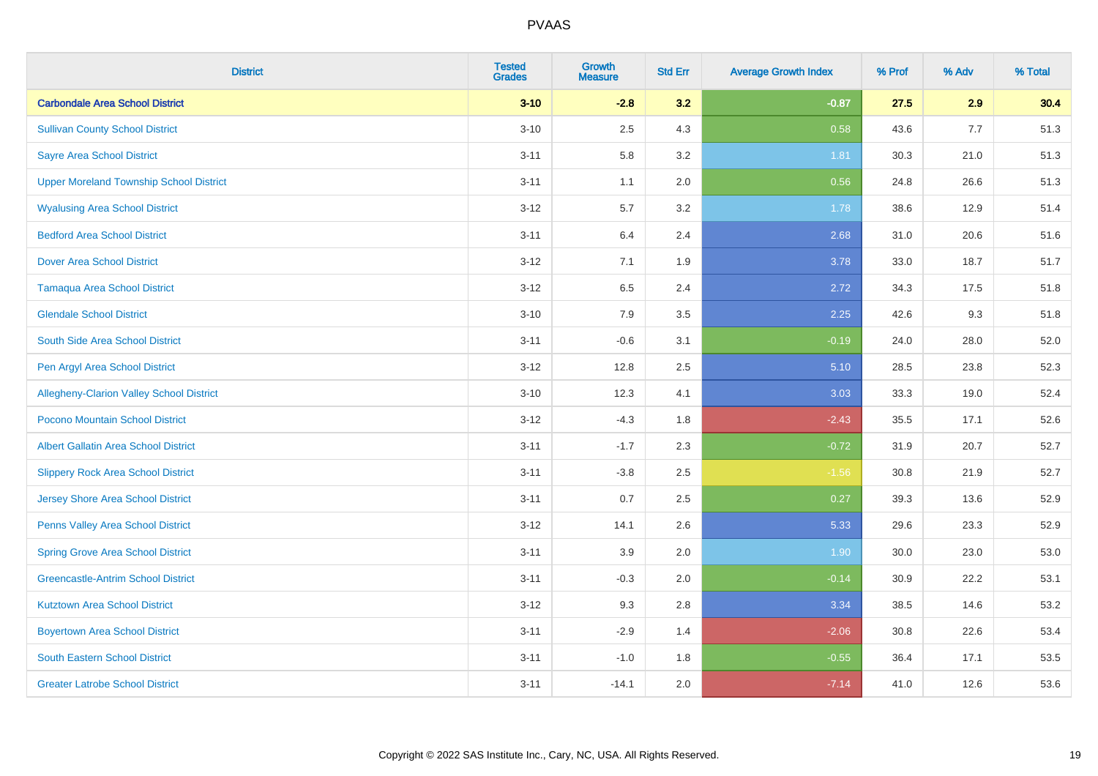| <b>District</b>                                 | <b>Tested</b><br><b>Grades</b> | <b>Growth</b><br><b>Measure</b> | <b>Std Err</b> | <b>Average Growth Index</b> | % Prof | % Adv | % Total |
|-------------------------------------------------|--------------------------------|---------------------------------|----------------|-----------------------------|--------|-------|---------|
| <b>Carbondale Area School District</b>          | $3 - 10$                       | $-2.8$                          | 3.2            | $-0.87$                     | 27.5   | 2.9   | 30.4    |
| <b>Sullivan County School District</b>          | $3 - 10$                       | 2.5                             | 4.3            | 0.58                        | 43.6   | 7.7   | 51.3    |
| <b>Sayre Area School District</b>               | $3 - 11$                       | 5.8                             | 3.2            | 1.81                        | 30.3   | 21.0  | 51.3    |
| <b>Upper Moreland Township School District</b>  | $3 - 11$                       | 1.1                             | 2.0            | 0.56                        | 24.8   | 26.6  | 51.3    |
| <b>Wyalusing Area School District</b>           | $3 - 12$                       | 5.7                             | 3.2            | 1.78                        | 38.6   | 12.9  | 51.4    |
| <b>Bedford Area School District</b>             | $3 - 11$                       | 6.4                             | 2.4            | 2.68                        | 31.0   | 20.6  | 51.6    |
| <b>Dover Area School District</b>               | $3 - 12$                       | 7.1                             | 1.9            | 3.78                        | 33.0   | 18.7  | 51.7    |
| <b>Tamaqua Area School District</b>             | $3 - 12$                       | 6.5                             | 2.4            | 2.72                        | 34.3   | 17.5  | 51.8    |
| <b>Glendale School District</b>                 | $3 - 10$                       | 7.9                             | 3.5            | 2.25                        | 42.6   | 9.3   | 51.8    |
| South Side Area School District                 | $3 - 11$                       | $-0.6$                          | 3.1            | $-0.19$                     | 24.0   | 28.0  | 52.0    |
| Pen Argyl Area School District                  | $3-12$                         | 12.8                            | 2.5            | 5.10                        | 28.5   | 23.8  | 52.3    |
| <b>Allegheny-Clarion Valley School District</b> | $3 - 10$                       | 12.3                            | 4.1            | 3.03                        | 33.3   | 19.0  | 52.4    |
| Pocono Mountain School District                 | $3 - 12$                       | $-4.3$                          | 1.8            | $-2.43$                     | 35.5   | 17.1  | 52.6    |
| <b>Albert Gallatin Area School District</b>     | $3 - 11$                       | $-1.7$                          | 2.3            | $-0.72$                     | 31.9   | 20.7  | 52.7    |
| <b>Slippery Rock Area School District</b>       | $3 - 11$                       | $-3.8$                          | 2.5            | $-1.56$                     | 30.8   | 21.9  | 52.7    |
| <b>Jersey Shore Area School District</b>        | $3 - 11$                       | 0.7                             | 2.5            | 0.27                        | 39.3   | 13.6  | 52.9    |
| Penns Valley Area School District               | $3 - 12$                       | 14.1                            | 2.6            | 5.33                        | 29.6   | 23.3  | 52.9    |
| <b>Spring Grove Area School District</b>        | $3 - 11$                       | 3.9                             | 2.0            | 1.90                        | 30.0   | 23.0  | 53.0    |
| <b>Greencastle-Antrim School District</b>       | $3 - 11$                       | $-0.3$                          | 2.0            | $-0.14$                     | 30.9   | 22.2  | 53.1    |
| <b>Kutztown Area School District</b>            | $3 - 12$                       | 9.3                             | 2.8            | 3.34                        | 38.5   | 14.6  | 53.2    |
| <b>Boyertown Area School District</b>           | $3 - 11$                       | $-2.9$                          | 1.4            | $-2.06$                     | 30.8   | 22.6  | 53.4    |
| <b>South Eastern School District</b>            | $3 - 11$                       | $-1.0$                          | 1.8            | $-0.55$                     | 36.4   | 17.1  | 53.5    |
| <b>Greater Latrobe School District</b>          | $3 - 11$                       | $-14.1$                         | 2.0            | $-7.14$                     | 41.0   | 12.6  | 53.6    |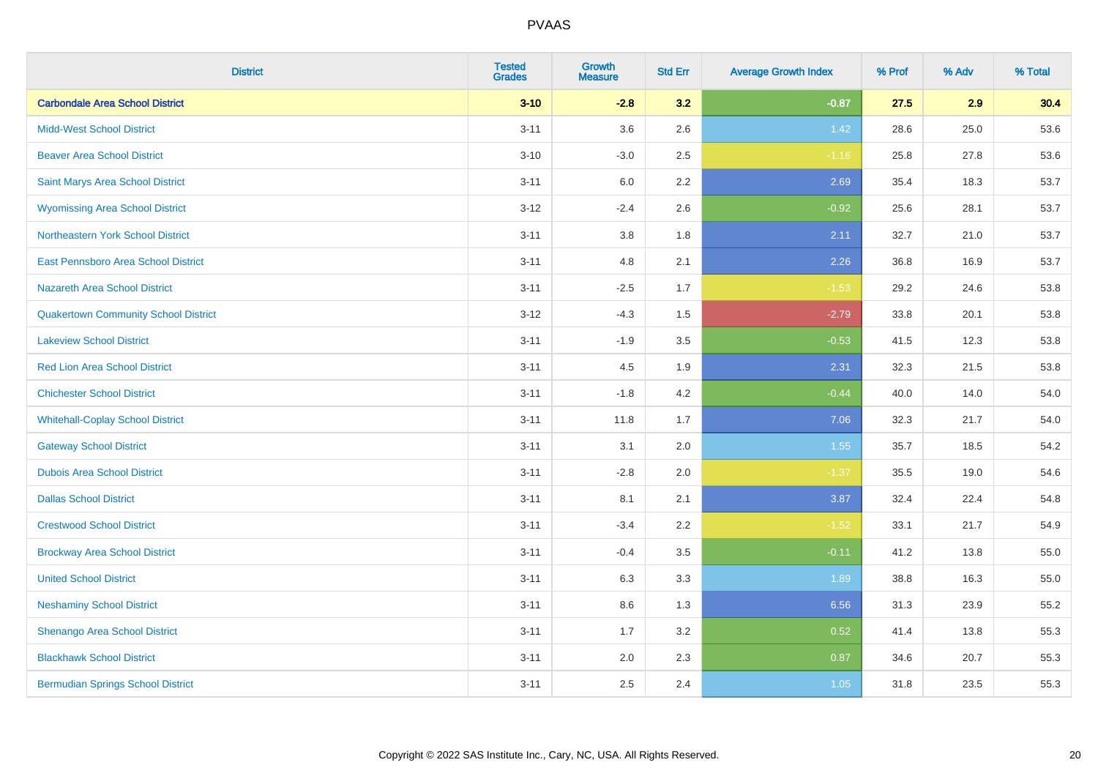| <b>District</b>                             | <b>Tested</b><br><b>Grades</b> | <b>Growth</b><br><b>Measure</b> | <b>Std Err</b> | <b>Average Growth Index</b> | % Prof | % Adv | % Total |
|---------------------------------------------|--------------------------------|---------------------------------|----------------|-----------------------------|--------|-------|---------|
| <b>Carbondale Area School District</b>      | $3 - 10$                       | $-2.8$                          | 3.2            | $-0.87$                     | 27.5   | 2.9   | 30.4    |
| <b>Midd-West School District</b>            | $3 - 11$                       | 3.6                             | 2.6            | 1.42                        | 28.6   | 25.0  | 53.6    |
| <b>Beaver Area School District</b>          | $3 - 10$                       | $-3.0$                          | 2.5            | $-1.16$                     | 25.8   | 27.8  | 53.6    |
| Saint Marys Area School District            | $3 - 11$                       | 6.0                             | 2.2            | 2.69                        | 35.4   | 18.3  | 53.7    |
| <b>Wyomissing Area School District</b>      | $3 - 12$                       | $-2.4$                          | 2.6            | $-0.92$                     | 25.6   | 28.1  | 53.7    |
| Northeastern York School District           | $3 - 11$                       | 3.8                             | 1.8            | 2.11                        | 32.7   | 21.0  | 53.7    |
| East Pennsboro Area School District         | $3 - 11$                       | 4.8                             | 2.1            | 2.26                        | 36.8   | 16.9  | 53.7    |
| <b>Nazareth Area School District</b>        | $3 - 11$                       | $-2.5$                          | 1.7            | $-1.53$                     | 29.2   | 24.6  | 53.8    |
| <b>Quakertown Community School District</b> | $3 - 12$                       | $-4.3$                          | 1.5            | $-2.79$                     | 33.8   | 20.1  | 53.8    |
| <b>Lakeview School District</b>             | $3 - 11$                       | $-1.9$                          | 3.5            | $-0.53$                     | 41.5   | 12.3  | 53.8    |
| <b>Red Lion Area School District</b>        | $3 - 11$                       | 4.5                             | 1.9            | 2.31                        | 32.3   | 21.5  | 53.8    |
| <b>Chichester School District</b>           | $3 - 11$                       | $-1.8$                          | 4.2            | $-0.44$                     | 40.0   | 14.0  | 54.0    |
| <b>Whitehall-Coplay School District</b>     | $3 - 11$                       | 11.8                            | 1.7            | 7.06                        | 32.3   | 21.7  | 54.0    |
| <b>Gateway School District</b>              | $3 - 11$                       | 3.1                             | 2.0            | 1.55                        | 35.7   | 18.5  | 54.2    |
| <b>Dubois Area School District</b>          | $3 - 11$                       | $-2.8$                          | 2.0            | $-1.37$                     | 35.5   | 19.0  | 54.6    |
| <b>Dallas School District</b>               | $3 - 11$                       | 8.1                             | 2.1            | 3.87                        | 32.4   | 22.4  | 54.8    |
| <b>Crestwood School District</b>            | $3 - 11$                       | $-3.4$                          | 2.2            | $-1.52$                     | 33.1   | 21.7  | 54.9    |
| <b>Brockway Area School District</b>        | $3 - 11$                       | $-0.4$                          | 3.5            | $-0.11$                     | 41.2   | 13.8  | 55.0    |
| <b>United School District</b>               | $3 - 11$                       | 6.3                             | 3.3            | 1.89                        | 38.8   | 16.3  | 55.0    |
| <b>Neshaminy School District</b>            | $3 - 11$                       | 8.6                             | 1.3            | 6.56                        | 31.3   | 23.9  | 55.2    |
| Shenango Area School District               | $3 - 11$                       | 1.7                             | 3.2            | 0.52                        | 41.4   | 13.8  | 55.3    |
| <b>Blackhawk School District</b>            | $3 - 11$                       | 2.0                             | 2.3            | 0.87                        | 34.6   | 20.7  | 55.3    |
| <b>Bermudian Springs School District</b>    | $3 - 11$                       | 2.5                             | 2.4            | 1.05                        | 31.8   | 23.5  | 55.3    |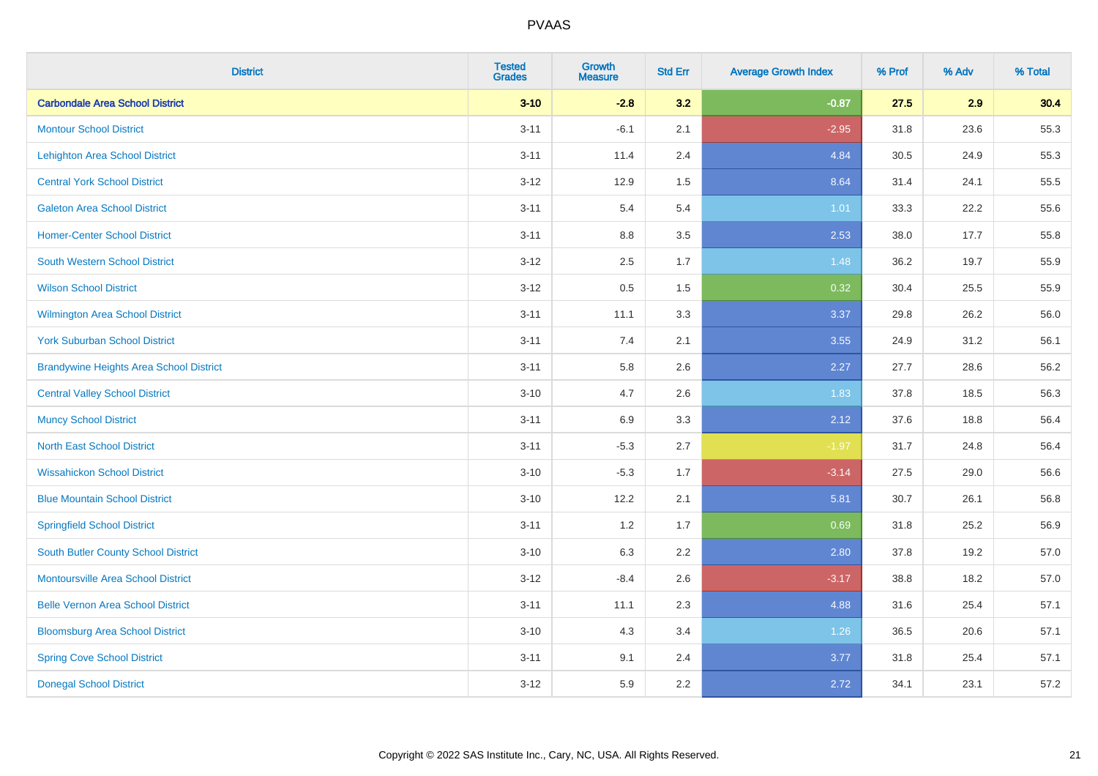| <b>District</b>                                | <b>Tested</b><br><b>Grades</b> | <b>Growth</b><br><b>Measure</b> | <b>Std Err</b> | <b>Average Growth Index</b> | % Prof | % Adv | % Total |
|------------------------------------------------|--------------------------------|---------------------------------|----------------|-----------------------------|--------|-------|---------|
| <b>Carbondale Area School District</b>         | $3 - 10$                       | $-2.8$                          | 3.2            | $-0.87$                     | 27.5   | 2.9   | 30.4    |
| <b>Montour School District</b>                 | $3 - 11$                       | $-6.1$                          | 2.1            | $-2.95$                     | 31.8   | 23.6  | 55.3    |
| <b>Lehighton Area School District</b>          | $3 - 11$                       | 11.4                            | 2.4            | 4.84                        | 30.5   | 24.9  | 55.3    |
| <b>Central York School District</b>            | $3 - 12$                       | 12.9                            | 1.5            | 8.64                        | 31.4   | 24.1  | 55.5    |
| <b>Galeton Area School District</b>            | $3 - 11$                       | 5.4                             | 5.4            | 1.01                        | 33.3   | 22.2  | 55.6    |
| <b>Homer-Center School District</b>            | $3 - 11$                       | 8.8                             | 3.5            | 2.53                        | 38.0   | 17.7  | 55.8    |
| South Western School District                  | $3 - 12$                       | 2.5                             | 1.7            | 1.48                        | 36.2   | 19.7  | 55.9    |
| <b>Wilson School District</b>                  | $3 - 12$                       | 0.5                             | 1.5            | 0.32                        | 30.4   | 25.5  | 55.9    |
| Wilmington Area School District                | $3 - 11$                       | 11.1                            | 3.3            | 3.37                        | 29.8   | 26.2  | 56.0    |
| <b>York Suburban School District</b>           | $3 - 11$                       | 7.4                             | 2.1            | 3.55                        | 24.9   | 31.2  | 56.1    |
| <b>Brandywine Heights Area School District</b> | $3 - 11$                       | 5.8                             | 2.6            | 2.27                        | 27.7   | 28.6  | 56.2    |
| <b>Central Valley School District</b>          | $3 - 10$                       | 4.7                             | 2.6            | 1.83                        | 37.8   | 18.5  | 56.3    |
| <b>Muncy School District</b>                   | $3 - 11$                       | 6.9                             | 3.3            | 2.12                        | 37.6   | 18.8  | 56.4    |
| <b>North East School District</b>              | $3 - 11$                       | $-5.3$                          | 2.7            | $-1.97$                     | 31.7   | 24.8  | 56.4    |
| <b>Wissahickon School District</b>             | $3 - 10$                       | $-5.3$                          | 1.7            | $-3.14$                     | 27.5   | 29.0  | 56.6    |
| <b>Blue Mountain School District</b>           | $3 - 10$                       | 12.2                            | 2.1            | 5.81                        | 30.7   | 26.1  | 56.8    |
| <b>Springfield School District</b>             | $3 - 11$                       | $1.2\,$                         | 1.7            | 0.69                        | 31.8   | 25.2  | 56.9    |
| <b>South Butler County School District</b>     | $3 - 10$                       | 6.3                             | 2.2            | 2.80                        | 37.8   | 19.2  | 57.0    |
| <b>Montoursville Area School District</b>      | $3 - 12$                       | $-8.4$                          | 2.6            | $-3.17$                     | 38.8   | 18.2  | 57.0    |
| <b>Belle Vernon Area School District</b>       | $3 - 11$                       | 11.1                            | 2.3            | 4.88                        | 31.6   | 25.4  | 57.1    |
| <b>Bloomsburg Area School District</b>         | $3 - 10$                       | 4.3                             | 3.4            | 1.26                        | 36.5   | 20.6  | 57.1    |
| <b>Spring Cove School District</b>             | $3 - 11$                       | 9.1                             | 2.4            | 3.77                        | 31.8   | 25.4  | 57.1    |
| <b>Donegal School District</b>                 | $3 - 12$                       | 5.9                             | 2.2            | 2.72                        | 34.1   | 23.1  | 57.2    |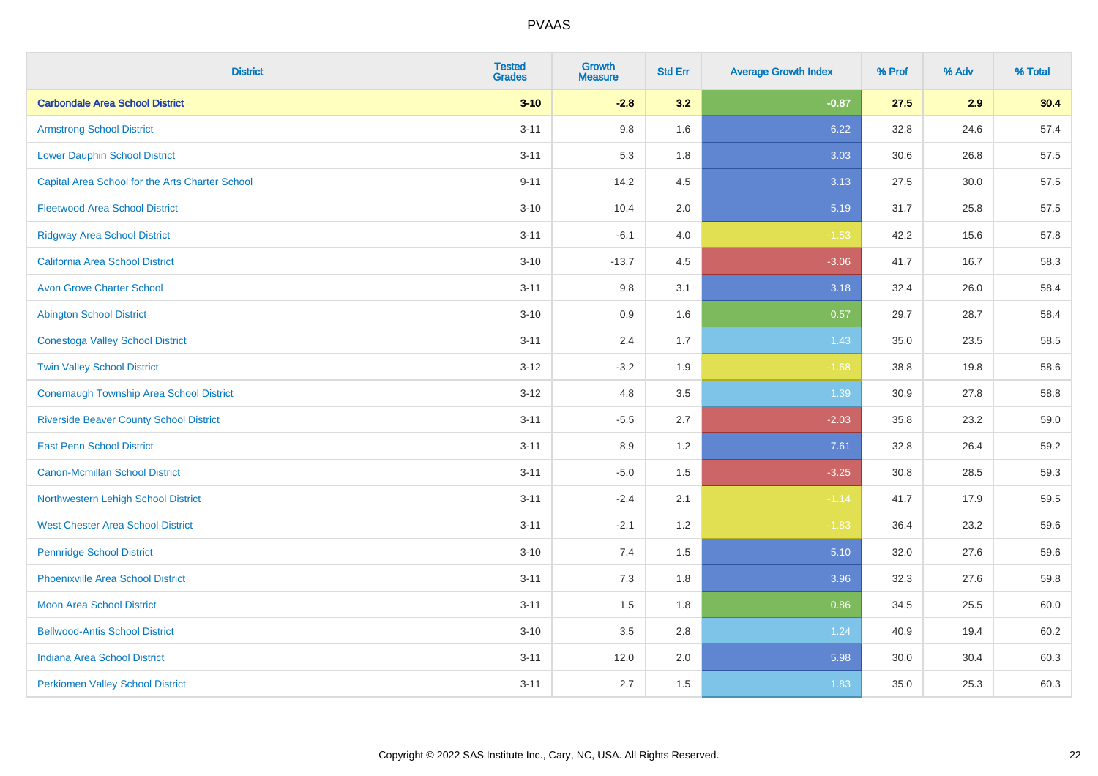| <b>District</b>                                 | <b>Tested</b><br><b>Grades</b> | <b>Growth</b><br><b>Measure</b> | <b>Std Err</b> | <b>Average Growth Index</b> | % Prof | % Adv | % Total |
|-------------------------------------------------|--------------------------------|---------------------------------|----------------|-----------------------------|--------|-------|---------|
| <b>Carbondale Area School District</b>          | $3 - 10$                       | $-2.8$                          | 3.2            | $-0.87$                     | 27.5   | 2.9   | 30.4    |
| <b>Armstrong School District</b>                | $3 - 11$                       | 9.8                             | 1.6            | 6.22                        | 32.8   | 24.6  | 57.4    |
| <b>Lower Dauphin School District</b>            | $3 - 11$                       | 5.3                             | 1.8            | 3.03                        | 30.6   | 26.8  | 57.5    |
| Capital Area School for the Arts Charter School | $9 - 11$                       | 14.2                            | 4.5            | 3.13                        | 27.5   | 30.0  | 57.5    |
| <b>Fleetwood Area School District</b>           | $3 - 10$                       | 10.4                            | 2.0            | 5.19                        | 31.7   | 25.8  | 57.5    |
| <b>Ridgway Area School District</b>             | $3 - 11$                       | $-6.1$                          | 4.0            | $-1.53$                     | 42.2   | 15.6  | 57.8    |
| <b>California Area School District</b>          | $3 - 10$                       | $-13.7$                         | 4.5            | $-3.06$                     | 41.7   | 16.7  | 58.3    |
| <b>Avon Grove Charter School</b>                | $3 - 11$                       | 9.8                             | 3.1            | 3.18                        | 32.4   | 26.0  | 58.4    |
| <b>Abington School District</b>                 | $3 - 10$                       | 0.9                             | 1.6            | 0.57                        | 29.7   | 28.7  | 58.4    |
| <b>Conestoga Valley School District</b>         | $3 - 11$                       | 2.4                             | 1.7            | 1.43                        | 35.0   | 23.5  | 58.5    |
| <b>Twin Valley School District</b>              | $3 - 12$                       | $-3.2$                          | 1.9            | $-1.68$                     | 38.8   | 19.8  | 58.6    |
| <b>Conemaugh Township Area School District</b>  | $3 - 12$                       | 4.8                             | 3.5            | 1.39                        | 30.9   | 27.8  | 58.8    |
| <b>Riverside Beaver County School District</b>  | $3 - 11$                       | $-5.5$                          | 2.7            | $-2.03$                     | 35.8   | 23.2  | 59.0    |
| <b>East Penn School District</b>                | $3 - 11$                       | 8.9                             | 1.2            | 7.61                        | 32.8   | 26.4  | 59.2    |
| <b>Canon-Mcmillan School District</b>           | $3 - 11$                       | $-5.0$                          | 1.5            | $-3.25$                     | 30.8   | 28.5  | 59.3    |
| Northwestern Lehigh School District             | $3 - 11$                       | $-2.4$                          | 2.1            | $-1.14$                     | 41.7   | 17.9  | 59.5    |
| <b>West Chester Area School District</b>        | $3 - 11$                       | $-2.1$                          | 1.2            | $-1.83$                     | 36.4   | 23.2  | 59.6    |
| <b>Pennridge School District</b>                | $3 - 10$                       | 7.4                             | 1.5            | 5.10                        | 32.0   | 27.6  | 59.6    |
| <b>Phoenixville Area School District</b>        | $3 - 11$                       | 7.3                             | 1.8            | 3.96                        | 32.3   | 27.6  | 59.8    |
| <b>Moon Area School District</b>                | $3 - 11$                       | 1.5                             | 1.8            | 0.86                        | 34.5   | 25.5  | 60.0    |
| <b>Bellwood-Antis School District</b>           | $3 - 10$                       | 3.5                             | 2.8            | 1.24                        | 40.9   | 19.4  | 60.2    |
| <b>Indiana Area School District</b>             | $3 - 11$                       | 12.0                            | 2.0            | 5.98                        | 30.0   | 30.4  | 60.3    |
| <b>Perkiomen Valley School District</b>         | $3 - 11$                       | 2.7                             | 1.5            | 1.83                        | 35.0   | 25.3  | 60.3    |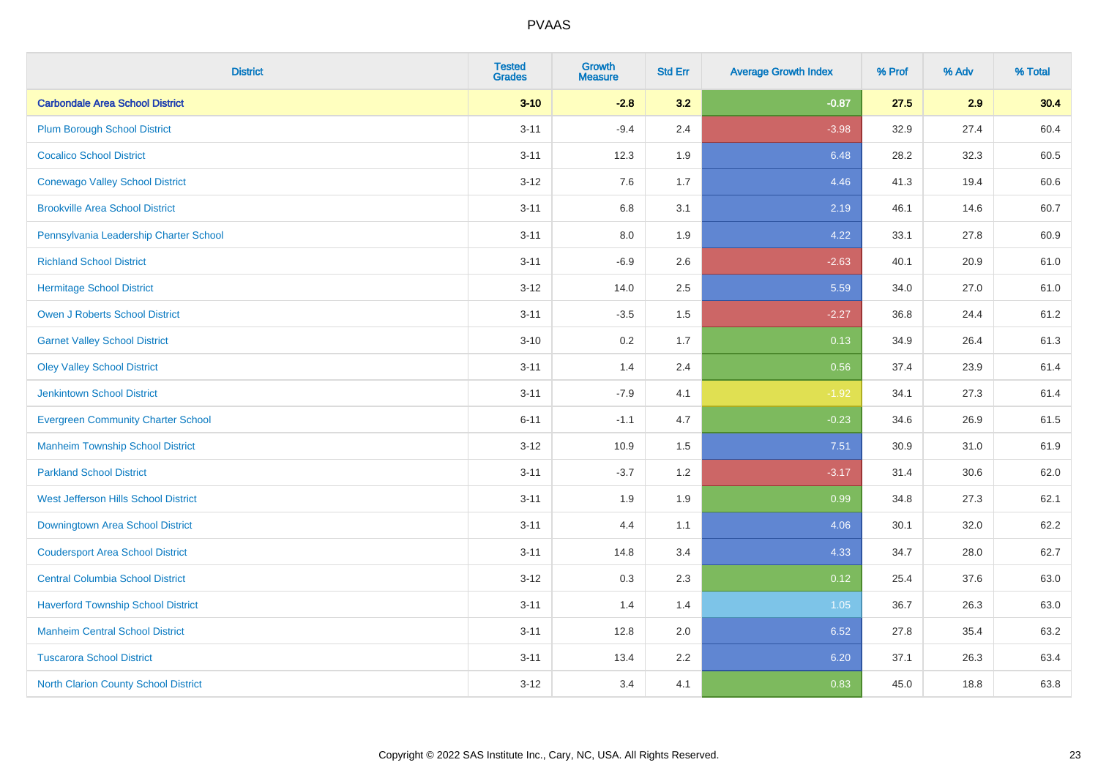| <b>District</b>                             | <b>Tested</b><br><b>Grades</b> | <b>Growth</b><br><b>Measure</b> | <b>Std Err</b> | <b>Average Growth Index</b> | % Prof | % Adv | % Total |
|---------------------------------------------|--------------------------------|---------------------------------|----------------|-----------------------------|--------|-------|---------|
| <b>Carbondale Area School District</b>      | $3 - 10$                       | $-2.8$                          | 3.2            | $-0.87$                     | 27.5   | 2.9   | 30.4    |
| <b>Plum Borough School District</b>         | $3 - 11$                       | $-9.4$                          | 2.4            | $-3.98$                     | 32.9   | 27.4  | 60.4    |
| <b>Cocalico School District</b>             | $3 - 11$                       | 12.3                            | 1.9            | 6.48                        | 28.2   | 32.3  | 60.5    |
| <b>Conewago Valley School District</b>      | $3 - 12$                       | 7.6                             | 1.7            | 4.46                        | 41.3   | 19.4  | 60.6    |
| <b>Brookville Area School District</b>      | $3 - 11$                       | 6.8                             | 3.1            | 2.19                        | 46.1   | 14.6  | 60.7    |
| Pennsylvania Leadership Charter School      | $3 - 11$                       | 8.0                             | 1.9            | 4.22                        | 33.1   | 27.8  | 60.9    |
| <b>Richland School District</b>             | $3 - 11$                       | $-6.9$                          | 2.6            | $-2.63$                     | 40.1   | 20.9  | 61.0    |
| <b>Hermitage School District</b>            | $3 - 12$                       | 14.0                            | 2.5            | 5.59                        | 34.0   | 27.0  | 61.0    |
| <b>Owen J Roberts School District</b>       | $3 - 11$                       | $-3.5$                          | 1.5            | $-2.27$                     | 36.8   | 24.4  | 61.2    |
| <b>Garnet Valley School District</b>        | $3 - 10$                       | 0.2                             | 1.7            | 0.13                        | 34.9   | 26.4  | 61.3    |
| <b>Oley Valley School District</b>          | $3 - 11$                       | 1.4                             | 2.4            | 0.56                        | 37.4   | 23.9  | 61.4    |
| Jenkintown School District                  | $3 - 11$                       | $-7.9$                          | 4.1            | $-1.92$                     | 34.1   | 27.3  | 61.4    |
| <b>Evergreen Community Charter School</b>   | $6 - 11$                       | $-1.1$                          | 4.7            | $-0.23$                     | 34.6   | 26.9  | 61.5    |
| <b>Manheim Township School District</b>     | $3-12$                         | 10.9                            | 1.5            | 7.51                        | 30.9   | 31.0  | 61.9    |
| <b>Parkland School District</b>             | $3 - 11$                       | $-3.7$                          | 1.2            | $-3.17$                     | 31.4   | 30.6  | 62.0    |
| West Jefferson Hills School District        | $3 - 11$                       | 1.9                             | 1.9            | 0.99                        | 34.8   | 27.3  | 62.1    |
| <b>Downingtown Area School District</b>     | $3 - 11$                       | 4.4                             | 1.1            | 4.06                        | 30.1   | 32.0  | 62.2    |
| <b>Coudersport Area School District</b>     | $3 - 11$                       | 14.8                            | 3.4            | 4.33                        | 34.7   | 28.0  | 62.7    |
| <b>Central Columbia School District</b>     | $3 - 12$                       | 0.3                             | 2.3            | 0.12                        | 25.4   | 37.6  | 63.0    |
| <b>Haverford Township School District</b>   | $3 - 11$                       | 1.4                             | 1.4            | 1.05                        | 36.7   | 26.3  | 63.0    |
| <b>Manheim Central School District</b>      | $3 - 11$                       | 12.8                            | 2.0            | 6.52                        | 27.8   | 35.4  | 63.2    |
| <b>Tuscarora School District</b>            | $3 - 11$                       | 13.4                            | 2.2            | 6.20                        | 37.1   | 26.3  | 63.4    |
| <b>North Clarion County School District</b> | $3-12$                         | 3.4                             | 4.1            | 0.83                        | 45.0   | 18.8  | 63.8    |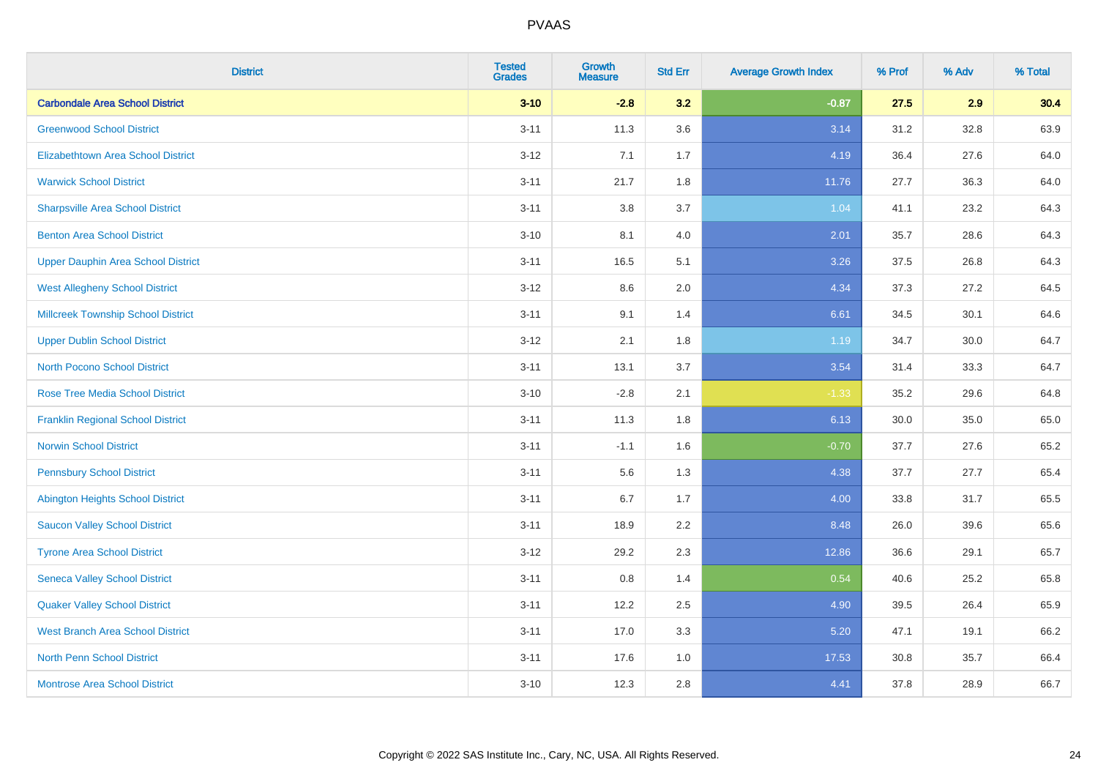| <b>District</b>                           | <b>Tested</b><br><b>Grades</b> | <b>Growth</b><br><b>Measure</b> | <b>Std Err</b> | <b>Average Growth Index</b> | % Prof | % Adv | % Total |
|-------------------------------------------|--------------------------------|---------------------------------|----------------|-----------------------------|--------|-------|---------|
| <b>Carbondale Area School District</b>    | $3 - 10$                       | $-2.8$                          | 3.2            | $-0.87$                     | 27.5   | 2.9   | 30.4    |
| <b>Greenwood School District</b>          | $3 - 11$                       | 11.3                            | 3.6            | 3.14                        | 31.2   | 32.8  | 63.9    |
| <b>Elizabethtown Area School District</b> | $3 - 12$                       | 7.1                             | 1.7            | 4.19                        | 36.4   | 27.6  | 64.0    |
| <b>Warwick School District</b>            | $3 - 11$                       | 21.7                            | 1.8            | 11.76                       | 27.7   | 36.3  | 64.0    |
| <b>Sharpsville Area School District</b>   | $3 - 11$                       | 3.8                             | 3.7            | 1.04                        | 41.1   | 23.2  | 64.3    |
| <b>Benton Area School District</b>        | $3 - 10$                       | 8.1                             | 4.0            | 2.01                        | 35.7   | 28.6  | 64.3    |
| <b>Upper Dauphin Area School District</b> | $3 - 11$                       | 16.5                            | 5.1            | 3.26                        | 37.5   | 26.8  | 64.3    |
| <b>West Allegheny School District</b>     | $3 - 12$                       | 8.6                             | 2.0            | 4.34                        | 37.3   | 27.2  | 64.5    |
| <b>Millcreek Township School District</b> | $3 - 11$                       | 9.1                             | 1.4            | 6.61                        | 34.5   | 30.1  | 64.6    |
| <b>Upper Dublin School District</b>       | $3 - 12$                       | 2.1                             | 1.8            | 1.19                        | 34.7   | 30.0  | 64.7    |
| <b>North Pocono School District</b>       | $3 - 11$                       | 13.1                            | 3.7            | 3.54                        | 31.4   | 33.3  | 64.7    |
| <b>Rose Tree Media School District</b>    | $3 - 10$                       | $-2.8$                          | 2.1            | $-1.33$                     | 35.2   | 29.6  | 64.8    |
| <b>Franklin Regional School District</b>  | $3 - 11$                       | 11.3                            | 1.8            | 6.13                        | 30.0   | 35.0  | 65.0    |
| <b>Norwin School District</b>             | $3 - 11$                       | $-1.1$                          | 1.6            | $-0.70$                     | 37.7   | 27.6  | 65.2    |
| <b>Pennsbury School District</b>          | $3 - 11$                       | 5.6                             | 1.3            | 4.38                        | 37.7   | 27.7  | 65.4    |
| <b>Abington Heights School District</b>   | $3 - 11$                       | 6.7                             | 1.7            | 4.00                        | 33.8   | 31.7  | 65.5    |
| <b>Saucon Valley School District</b>      | $3 - 11$                       | 18.9                            | 2.2            | 8.48                        | 26.0   | 39.6  | 65.6    |
| <b>Tyrone Area School District</b>        | $3 - 12$                       | 29.2                            | 2.3            | 12.86                       | 36.6   | 29.1  | 65.7    |
| <b>Seneca Valley School District</b>      | $3 - 11$                       | 0.8                             | 1.4            | 0.54                        | 40.6   | 25.2  | 65.8    |
| <b>Quaker Valley School District</b>      | $3 - 11$                       | 12.2                            | 2.5            | 4.90                        | 39.5   | 26.4  | 65.9    |
| <b>West Branch Area School District</b>   | $3 - 11$                       | 17.0                            | 3.3            | 5.20                        | 47.1   | 19.1  | 66.2    |
| North Penn School District                | $3 - 11$                       | 17.6                            | 1.0            | 17.53                       | 30.8   | 35.7  | 66.4    |
| <b>Montrose Area School District</b>      | $3 - 10$                       | 12.3                            | 2.8            | 4.41                        | 37.8   | 28.9  | 66.7    |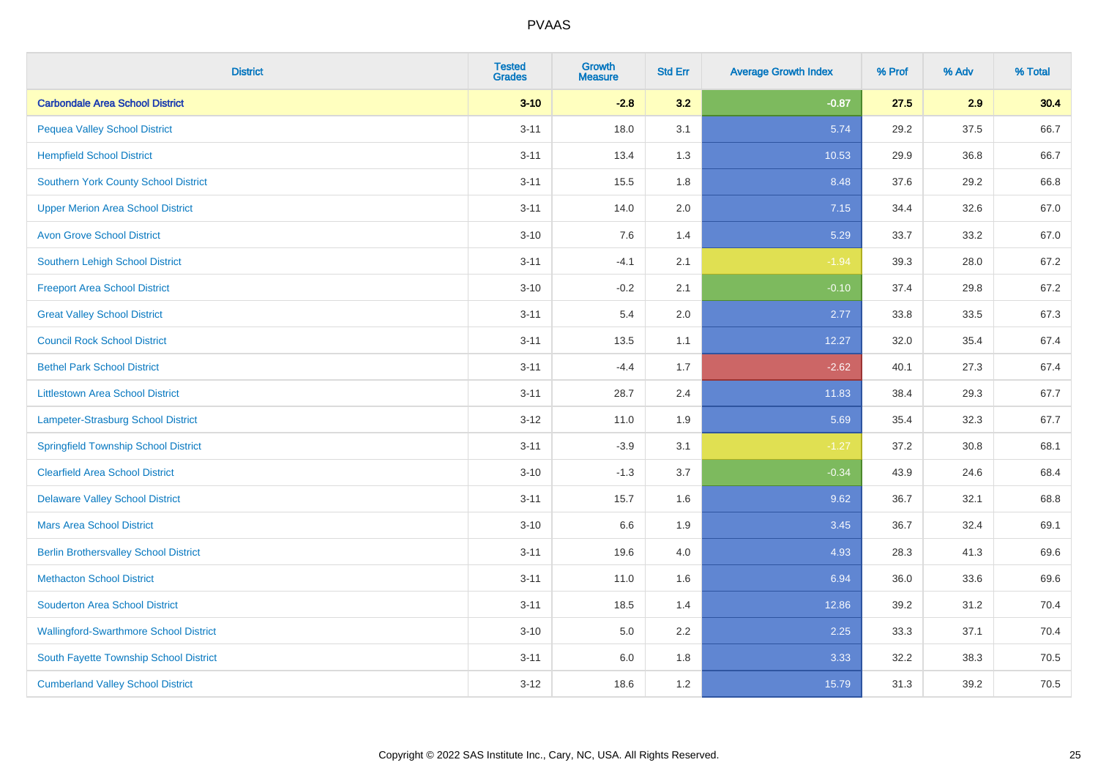| <b>District</b>                               | <b>Tested</b><br><b>Grades</b> | <b>Growth</b><br><b>Measure</b> | <b>Std Err</b> | <b>Average Growth Index</b> | % Prof | % Adv | % Total |
|-----------------------------------------------|--------------------------------|---------------------------------|----------------|-----------------------------|--------|-------|---------|
| <b>Carbondale Area School District</b>        | $3 - 10$                       | $-2.8$                          | 3.2            | $-0.87$                     | 27.5   | 2.9   | 30.4    |
| <b>Pequea Valley School District</b>          | $3 - 11$                       | 18.0                            | 3.1            | 5.74                        | 29.2   | 37.5  | 66.7    |
| <b>Hempfield School District</b>              | $3 - 11$                       | 13.4                            | 1.3            | 10.53                       | 29.9   | 36.8  | 66.7    |
| <b>Southern York County School District</b>   | $3 - 11$                       | 15.5                            | 1.8            | 8.48                        | 37.6   | 29.2  | 66.8    |
| <b>Upper Merion Area School District</b>      | $3 - 11$                       | 14.0                            | 2.0            | 7.15                        | 34.4   | 32.6  | 67.0    |
| <b>Avon Grove School District</b>             | $3 - 10$                       | 7.6                             | 1.4            | 5.29                        | 33.7   | 33.2  | 67.0    |
| Southern Lehigh School District               | $3 - 11$                       | $-4.1$                          | 2.1            | $-1.94$                     | 39.3   | 28.0  | 67.2    |
| <b>Freeport Area School District</b>          | $3 - 10$                       | $-0.2$                          | 2.1            | $-0.10$                     | 37.4   | 29.8  | 67.2    |
| <b>Great Valley School District</b>           | $3 - 11$                       | 5.4                             | 2.0            | 2.77                        | 33.8   | 33.5  | 67.3    |
| <b>Council Rock School District</b>           | $3 - 11$                       | 13.5                            | 1.1            | 12.27                       | 32.0   | 35.4  | 67.4    |
| <b>Bethel Park School District</b>            | $3 - 11$                       | $-4.4$                          | 1.7            | $-2.62$                     | 40.1   | 27.3  | 67.4    |
| <b>Littlestown Area School District</b>       | $3 - 11$                       | 28.7                            | 2.4            | 11.83                       | 38.4   | 29.3  | 67.7    |
| Lampeter-Strasburg School District            | $3 - 12$                       | 11.0                            | 1.9            | 5.69                        | 35.4   | 32.3  | 67.7    |
| <b>Springfield Township School District</b>   | $3 - 11$                       | $-3.9$                          | 3.1            | $-1.27$                     | 37.2   | 30.8  | 68.1    |
| <b>Clearfield Area School District</b>        | $3 - 10$                       | $-1.3$                          | 3.7            | $-0.34$                     | 43.9   | 24.6  | 68.4    |
| <b>Delaware Valley School District</b>        | $3 - 11$                       | 15.7                            | 1.6            | 9.62                        | 36.7   | 32.1  | 68.8    |
| <b>Mars Area School District</b>              | $3 - 10$                       | 6.6                             | 1.9            | 3.45                        | 36.7   | 32.4  | 69.1    |
| <b>Berlin Brothersvalley School District</b>  | $3 - 11$                       | 19.6                            | 4.0            | 4.93                        | 28.3   | 41.3  | 69.6    |
| <b>Methacton School District</b>              | $3 - 11$                       | 11.0                            | 1.6            | 6.94                        | 36.0   | 33.6  | 69.6    |
| <b>Souderton Area School District</b>         | $3 - 11$                       | 18.5                            | 1.4            | 12.86                       | 39.2   | 31.2  | 70.4    |
| <b>Wallingford-Swarthmore School District</b> | $3 - 10$                       | 5.0                             | 2.2            | 2.25                        | 33.3   | 37.1  | 70.4    |
| South Fayette Township School District        | $3 - 11$                       | 6.0                             | 1.8            | 3.33                        | 32.2   | 38.3  | 70.5    |
| <b>Cumberland Valley School District</b>      | $3 - 12$                       | 18.6                            | 1.2            | 15.79                       | 31.3   | 39.2  | 70.5    |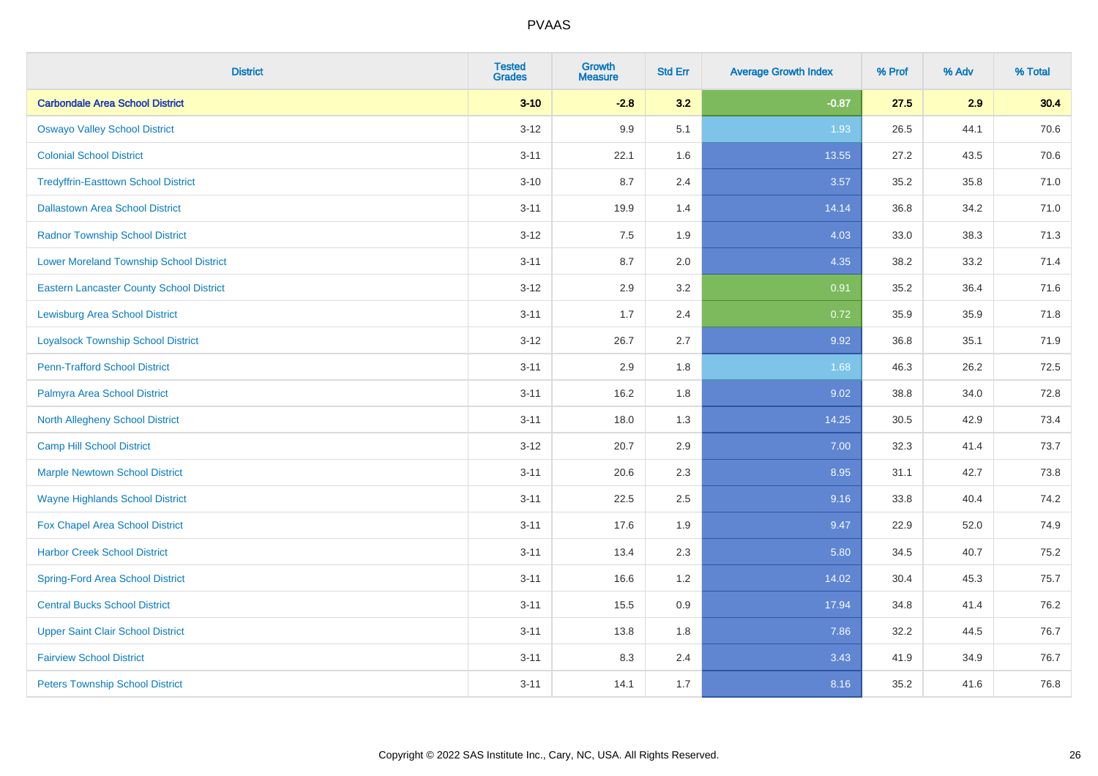| <b>District</b>                                 | <b>Tested</b><br><b>Grades</b> | <b>Growth</b><br><b>Measure</b> | <b>Std Err</b> | <b>Average Growth Index</b> | % Prof | % Adv | % Total |
|-------------------------------------------------|--------------------------------|---------------------------------|----------------|-----------------------------|--------|-------|---------|
| <b>Carbondale Area School District</b>          | $3 - 10$                       | $-2.8$                          | 3.2            | $-0.87$                     | 27.5   | 2.9   | 30.4    |
| <b>Oswayo Valley School District</b>            | $3 - 12$                       | 9.9                             | 5.1            | 1.93                        | 26.5   | 44.1  | 70.6    |
| <b>Colonial School District</b>                 | $3 - 11$                       | 22.1                            | 1.6            | 13.55                       | 27.2   | 43.5  | 70.6    |
| <b>Tredyffrin-Easttown School District</b>      | $3 - 10$                       | 8.7                             | 2.4            | 3.57                        | 35.2   | 35.8  | 71.0    |
| <b>Dallastown Area School District</b>          | $3 - 11$                       | 19.9                            | 1.4            | 14.14                       | 36.8   | 34.2  | 71.0    |
| <b>Radnor Township School District</b>          | $3 - 12$                       | 7.5                             | 1.9            | 4.03                        | 33.0   | 38.3  | 71.3    |
| <b>Lower Moreland Township School District</b>  | $3 - 11$                       | 8.7                             | 2.0            | 4.35                        | 38.2   | 33.2  | 71.4    |
| <b>Eastern Lancaster County School District</b> | $3 - 12$                       | 2.9                             | 3.2            | 0.91                        | 35.2   | 36.4  | 71.6    |
| <b>Lewisburg Area School District</b>           | $3 - 11$                       | 1.7                             | 2.4            | 0.72                        | 35.9   | 35.9  | 71.8    |
| <b>Loyalsock Township School District</b>       | $3-12$                         | 26.7                            | 2.7            | 9.92                        | 36.8   | 35.1  | 71.9    |
| <b>Penn-Trafford School District</b>            | $3 - 11$                       | 2.9                             | 1.8            | 1.68                        | 46.3   | 26.2  | 72.5    |
| Palmyra Area School District                    | $3 - 11$                       | 16.2                            | 1.8            | 9.02                        | 38.8   | 34.0  | 72.8    |
| North Allegheny School District                 | $3 - 11$                       | 18.0                            | 1.3            | 14.25                       | 30.5   | 42.9  | 73.4    |
| <b>Camp Hill School District</b>                | $3 - 12$                       | 20.7                            | 2.9            | 7.00                        | 32.3   | 41.4  | 73.7    |
| <b>Marple Newtown School District</b>           | $3 - 11$                       | 20.6                            | 2.3            | 8.95                        | 31.1   | 42.7  | 73.8    |
| <b>Wayne Highlands School District</b>          | $3 - 11$                       | 22.5                            | 2.5            | 9.16                        | 33.8   | 40.4  | 74.2    |
| Fox Chapel Area School District                 | $3 - 11$                       | 17.6                            | 1.9            | 9.47                        | 22.9   | 52.0  | 74.9    |
| <b>Harbor Creek School District</b>             | $3 - 11$                       | 13.4                            | 2.3            | 5.80                        | 34.5   | 40.7  | 75.2    |
| <b>Spring-Ford Area School District</b>         | $3 - 11$                       | 16.6                            | 1.2            | 14.02                       | 30.4   | 45.3  | 75.7    |
| <b>Central Bucks School District</b>            | $3 - 11$                       | 15.5                            | 0.9            | 17.94                       | 34.8   | 41.4  | 76.2    |
| <b>Upper Saint Clair School District</b>        | $3 - 11$                       | 13.8                            | 1.8            | 7.86                        | 32.2   | 44.5  | 76.7    |
| <b>Fairview School District</b>                 | $3 - 11$                       | 8.3                             | 2.4            | 3.43                        | 41.9   | 34.9  | 76.7    |
| <b>Peters Township School District</b>          | $3 - 11$                       | 14.1                            | 1.7            | 8.16                        | 35.2   | 41.6  | 76.8    |